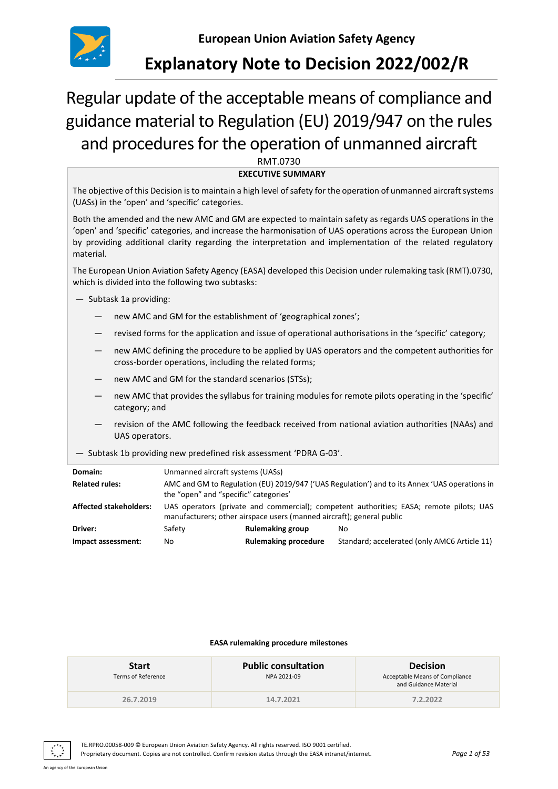

# **Explanatory Note to Decision 2022/002/R**

# Regular update of the acceptable means of compliance and guidance material to Regulation (EU) 2019/947 on the rules and procedures for the operation of unmanned aircraft

RMT.0730

**EXECUTIVE SUMMARY**

The objective of this Decision is to maintain a high level of safety for the operation of unmanned aircraft systems (UASs) in the 'open' and 'specific' categories.

Both the amended and the new AMC and GM are expected to maintain safety as regards UAS operations in the 'open' and 'specific' categories, and increase the harmonisation of UAS operations across the European Union by providing additional clarity regarding the interpretation and implementation of the related regulatory material.

The European Union Aviation Safety Agency (EASA) developed this Decision under rulemaking task (RMT).0730, which is divided into the following two subtasks:

- Subtask 1a providing:
	- new AMC and GM for the establishment of 'geographical zones';
	- revised forms for the application and issue of operational authorisations in the 'specific' category;
	- new AMC defining the procedure to be applied by UAS operators and the competent authorities for cross-border operations, including the related forms;
	- new AMC and GM for the standard scenarios (STSs);
	- new AMC that provides the syllabus for training modules for remote pilots operating in the 'specific' category; and
	- revision of the AMC following the feedback received from national aviation authorities (NAAs) and UAS operators.
- Subtask 1b providing new predefined risk assessment 'PDRA G-03'.

| Domain:                       | Unmanned aircraft systems (UASs)                                                                                                                                 |                             |                                              |  |  |
|-------------------------------|------------------------------------------------------------------------------------------------------------------------------------------------------------------|-----------------------------|----------------------------------------------|--|--|
| <b>Related rules:</b>         | AMC and GM to Regulation (EU) 2019/947 ('UAS Regulation') and to its Annex 'UAS operations in<br>the "open" and "specific" categories'                           |                             |                                              |  |  |
| <b>Affected stakeholders:</b> | UAS operators (private and commercial); competent authorities; EASA; remote pilots; UAS<br>manufacturers; other airspace users (manned aircraft); general public |                             |                                              |  |  |
| Driver:                       | Safety                                                                                                                                                           | <b>Rulemaking group</b>     | No.                                          |  |  |
| Impact assessment:            | No.                                                                                                                                                              | <b>Rulemaking procedure</b> | Standard; accelerated (only AMC6 Article 11) |  |  |

#### **EASA rulemaking procedure milestones**

| <b>Start</b><br>Terms of Reference | <b>Public consultation</b><br>NPA 2021-09 | <b>Decision</b><br>Acceptable Means of Compliance<br>and Guidance Material |
|------------------------------------|-------------------------------------------|----------------------------------------------------------------------------|
| 26.7.2019                          | 14.7.2021                                 | 7.2.2022                                                                   |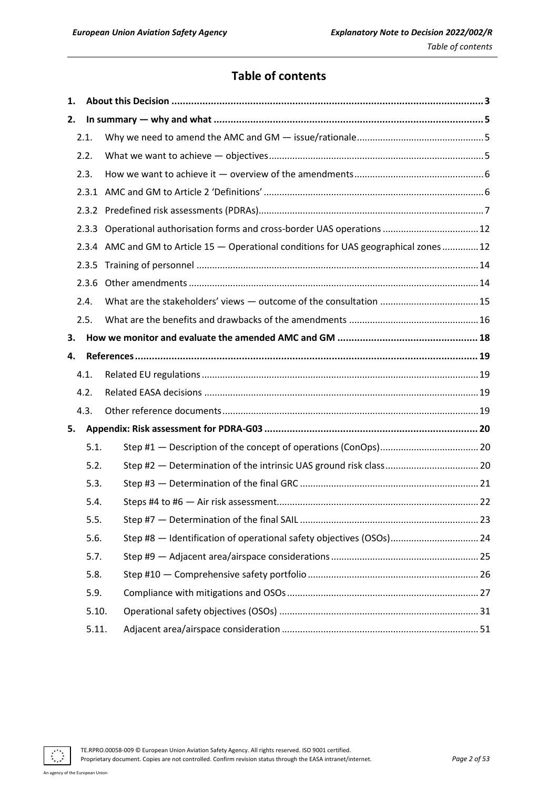# **Table of contents**

| 1.   |       |                                                                                       |
|------|-------|---------------------------------------------------------------------------------------|
| 2.   |       |                                                                                       |
|      | 2.1.  |                                                                                       |
|      | 2.2.  |                                                                                       |
|      | 2.3.  |                                                                                       |
|      |       |                                                                                       |
|      | 2.3.2 |                                                                                       |
|      |       |                                                                                       |
|      |       | 2.3.4 AMC and GM to Article 15 - Operational conditions for UAS geographical zones 12 |
|      | 2.3.5 |                                                                                       |
|      | 2.3.6 |                                                                                       |
|      | 2.4.  |                                                                                       |
|      | 2.5.  |                                                                                       |
| З.   |       |                                                                                       |
| 4.   |       |                                                                                       |
|      | 4.1.  |                                                                                       |
|      | 4.2.  |                                                                                       |
|      | 4.3.  |                                                                                       |
| 5.   |       |                                                                                       |
|      | 5.1.  |                                                                                       |
|      | 5.2.  |                                                                                       |
|      | 5.3.  |                                                                                       |
| 5.4. |       |                                                                                       |
|      | 5.5.  |                                                                                       |
|      | 5.6.  | Step #8 - Identification of operational safety objectives (OSOs) 24                   |
|      | 5.7.  |                                                                                       |
| 5.8. |       |                                                                                       |
|      | 5.9.  |                                                                                       |
|      | 5.10. |                                                                                       |
|      | 5.11. |                                                                                       |

 $\ddot{\cdot}$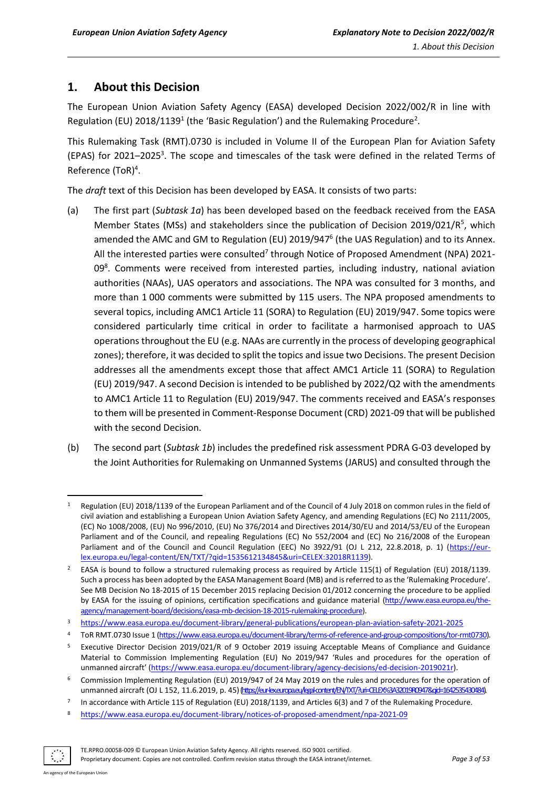# <span id="page-2-0"></span>**1. About this Decision**

The European Union Aviation Safety Agency (EASA) developed Decision 2022/002/R in line with Regulation (EU) 2018/1139<sup>1</sup> (the 'Basic Regulation') and the Rulemaking Procedure<sup>2</sup>.

This Rulemaking Task (RMT).0730 is included in Volume II of the European Plan for Aviation Safety (EPAS) for 2021-2025<sup>3</sup>. The scope and timescales of the task were defined in the related Terms of Reference (ToR) 4 .

The *draft* text of this Decision has been developed by EASA. It consists of two parts:

- (a) The first part (*Subtask 1a*) has been developed based on the feedback received from the EASA Member States (MSs) and stakeholders since the publication of Decision 2019/021/R<sup>5</sup>, which amended the AMC and GM to Regulation (EU) 2019/947<sup>6</sup> (the UAS Regulation) and to its Annex. All the interested parties were consulted<sup>7</sup> through Notice of Proposed Amendment (NPA) 2021-09<sup>8</sup>. Comments were received from interested parties, including industry, national aviation authorities (NAAs), UAS operators and associations. The NPA was consulted for 3 months, and more than 1 000 comments were submitted by 115 users. The NPA proposed amendments to several topics, including AMC1 Article 11 (SORA) to Regulation (EU) 2019/947. Some topics were considered particularly time critical in order to facilitate a harmonised approach to UAS operations throughout the EU (e.g. NAAs are currently in the process of developing geographical zones); therefore, it was decided to split the topics and issue two Decisions. The present Decision addresses all the amendments except those that affect AMC1 Article 11 (SORA) to Regulation (EU) 2019/947. A second Decision is intended to be published by 2022/Q2 with the amendments to AMC1 Article 11 to Regulation (EU) 2019/947. The comments received and EASA's responses to them will be presented in Comment-Response Document (CRD) 2021-09 that will be published with the second Decision.
- (b) The second part (*Subtask 1b*) includes the predefined risk assessment PDRA G-03 developed by the Joint Authorities for Rulemaking on Unmanned Systems (JARUS) and consulted through the

<sup>8</sup> <https://www.easa.europa.eu/document-library/notices-of-proposed-amendment/npa-2021-09>



Regulation (EU) 2018/1139 of the European Parliament and of the Council of 4 July 2018 on common rules in the field of civil aviation and establishing a European Union Aviation Safety Agency, and amending Regulations (EC) No 2111/2005, (EC) No 1008/2008, (EU) No 996/2010, (EU) No 376/2014 and Directives 2014/30/EU and 2014/53/EU of the European Parliament and of the Council, and repealing Regulations (EC) No 552/2004 and (EC) No 216/2008 of the European Parliament and of the Council and Council Regulation (EEC) No 3922/91 (OJ L 212, 22.8.2018, p. 1) [\(https://eur](https://eur-lex.europa.eu/legal-content/EN/TXT/?qid=1535612134845&uri=CELEX:32018R1139)[lex.europa.eu/legal-content/EN/TXT/?qid=1535612134845&uri=CELEX:32018R1139\)](https://eur-lex.europa.eu/legal-content/EN/TXT/?qid=1535612134845&uri=CELEX:32018R1139).

<sup>&</sup>lt;sup>2</sup> EASA is bound to follow a structured rulemaking process as required by Article 115(1) of Regulation (EU) 2018/1139. Such a process has been adopted by the EASA Management Board (MB) and is referred to as the 'Rulemaking Procedure'. See MB Decision No 18-2015 of 15 December 2015 replacing Decision 01/2012 concerning the procedure to be applied by EASA for the issuing of opinions, certification specifications and guidance material [\(http://www.easa.europa.eu/the](http://www.easa.europa.eu/the-agency/management-board/decisions/easa-mb-decision-18-2015-rulemaking-procedure)[agency/management-board/decisions/easa-mb-decision-18-2015-rulemaking-procedure\)](http://www.easa.europa.eu/the-agency/management-board/decisions/easa-mb-decision-18-2015-rulemaking-procedure).

<sup>3</sup> <https://www.easa.europa.eu/document-library/general-publications/european-plan-aviation-safety-2021-2025>

<sup>4</sup> ToR RMT.0730 Issue 1 [\(https://www.easa.europa.eu/document-library/terms-of-reference-and-group-compositions/tor-rmt0730\)](https://www.easa.europa.eu/document-library/terms-of-reference-and-group-compositions/tor-rmt0730).

<sup>5</sup> Executive Director Decision 2019/021/R of 9 October 2019 issuing Acceptable Means of Compliance and Guidance Material to Commission Implementing Regulation (EU) No 2019/947 'Rules and procedures for the operation of unmanned aircraft' ([https://www.easa.europa.eu/document-library/agency-decisions/ed-decision-2019021r\)](https://www.easa.europa.eu/document-library/agency-decisions/ed-decision-2019021r).

<sup>6</sup> Commission Implementing Regulation (EU) 2019/947 of 24 May 2019 on the rules and procedures for the operation of unmanned aircraft (OJ L 152, 11.6.2019, p. 45) (https://eur-lexeuropaeu/legal-content/EN/TXT/?uri=CELEX%3A32019R0947&qid=1642535430484).

<sup>7</sup> In accordance with Article 115 of Regulation (EU) 2018/1139, and Articles 6(3) and 7 of the Rulemaking Procedure.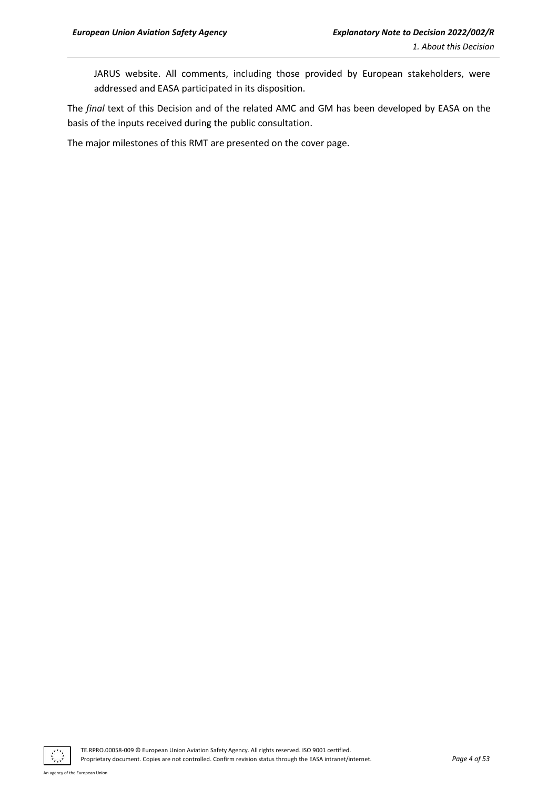JARUS website. All comments, including those provided by European stakeholders, were addressed and EASA participated in its disposition.

The *final* text of this Decision and of the related AMC and GM has been developed by EASA on the basis of the inputs received during the public consultation.

The major milestones of this RMT are presented on the cover page.

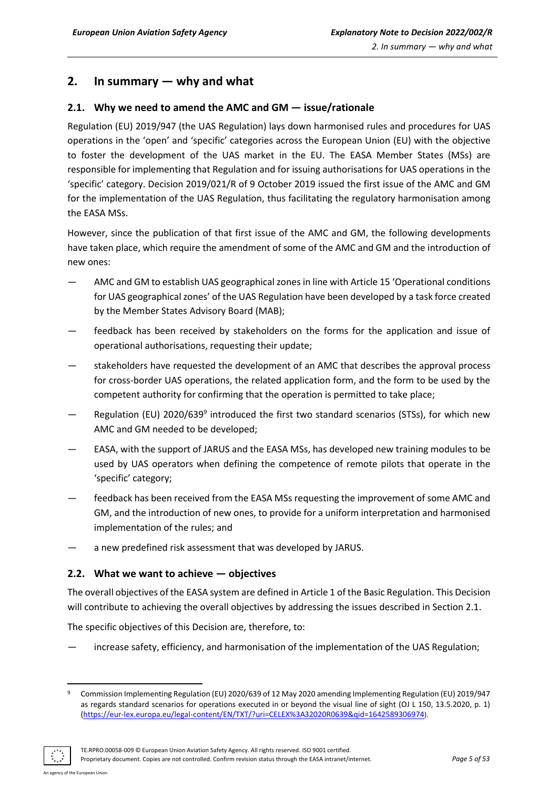# <span id="page-4-0"></span>**2. In summary — why and what**

# <span id="page-4-1"></span>**2.1. Why we need to amend the AMC and GM — issue/rationale**

Regulation (EU) 2019/947 (the UAS Regulation) lays down harmonised rules and procedures for UAS operations in the 'open' and 'specific' categories across the European Union (EU) with the objective to foster the development of the UAS market in the EU. The EASA Member States (MSs) are responsible for implementing that Regulation and for issuing authorisations for UAS operations in the 'specific' category. Decision 2019/021/R of 9 October 2019 issued the first issue of the AMC and GM for the implementation of the UAS Regulation, thus facilitating the regulatory harmonisation among the EASA MSs.

However, since the publication of that first issue of the AMC and GM, the following developments have taken place, which require the amendment of some of the AMC and GM and the introduction of new ones:

- AMC and GM to establish UAS geographical zones in line with Article 15 'Operational conditions for UAS geographical zones' of the UAS Regulation have been developed by a task force created by the Member States Advisory Board (MAB);
- feedback has been received by stakeholders on the forms for the application and issue of operational authorisations, requesting their update;
- stakeholders have requested the development of an AMC that describes the approval process for cross-border UAS operations, the related application form, and the form to be used by the competent authority for confirming that the operation is permitted to take place;
- Regulation (EU) 2020/639<sup>9</sup> introduced the first two standard scenarios (STSs), for which new AMC and GM needed to be developed;
- EASA, with the support of JARUS and the EASA MSs, has developed new training modules to be used by UAS operators when defining the competence of remote pilots that operate in the 'specific' category;
- feedback has been received from the EASA MSs requesting the improvement of some AMC and GM, and the introduction of new ones, to provide for a uniform interpretation and harmonised implementation of the rules; and
- a new predefined risk assessment that was developed by JARUS.

# <span id="page-4-2"></span>**2.2. What we want to achieve — objectives**

The overall objectives of the EASA system are defined in Article 1 of the Basic Regulation. This Decision will contribute to achieving the overall objectives by addressing the issues described in Section 2.1.

The specific objectives of this Decision are, therefore, to:

increase safety, efficiency, and harmonisation of the implementation of the UAS Regulation;

<sup>9</sup> Commission Implementing Regulation (EU) 2020/639 of 12 May 2020 amending Implementing Regulation (EU) 2019/947 as regards standard scenarios for operations executed in or beyond the visual line of sight (OJ L 150, 13.5.2020, p. 1) [\(https://eur-lex.europa.eu/legal-content/EN/TXT/?uri=CELEX%3A32020R0639&qid=1642589306974](https://eur-lex.europa.eu/legal-content/EN/TXT/?uri=CELEX%3A32020R0639&qid=1642589306974)).

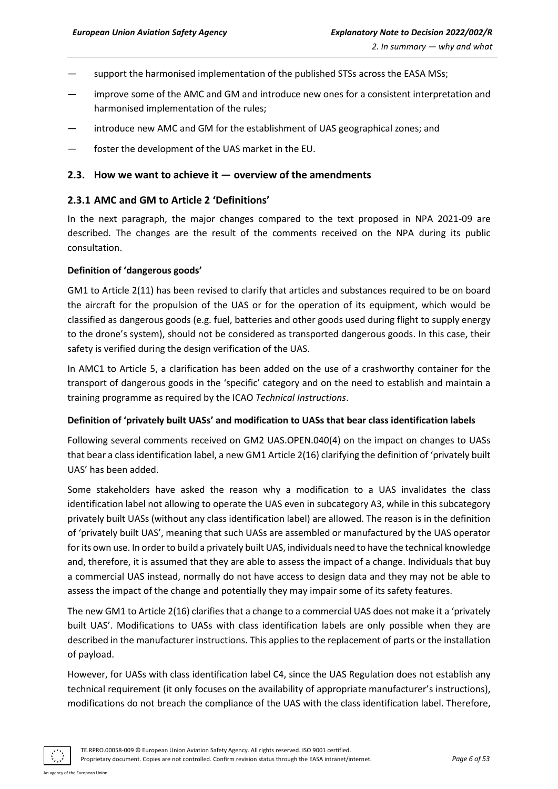- support the harmonised implementation of the published STSs across the EASA MSs;
- improve some of the AMC and GM and introduce new ones for a consistent interpretation and harmonised implementation of the rules;
- introduce new AMC and GM for the establishment of UAS geographical zones; and
- foster the development of the UAS market in the EU.

#### <span id="page-5-0"></span>**2.3. How we want to achieve it — overview of the amendments**

## <span id="page-5-1"></span>**2.3.1 AMC and GM to Article 2 'Definitions'**

In the next paragraph, the major changes compared to the text proposed in NPA 2021-09 are described. The changes are the result of the comments received on the NPA during its public consultation.

#### **Definition of 'dangerous goods'**

GM1 to Article 2(11) has been revised to clarify that articles and substances required to be on board the aircraft for the propulsion of the UAS or for the operation of its equipment, which would be classified as dangerous goods (e.g. fuel, batteries and other goods used during flight to supply energy to the drone's system), should not be considered as transported dangerous goods. In this case, their safety is verified during the design verification of the UAS.

In AMC1 to Article 5, a clarification has been added on the use of a crashworthy container for the transport of dangerous goods in the 'specific' category and on the need to establish and maintain a training programme as required by the ICAO *Technical Instructions*.

#### **Definition of 'privately built UASs' and modification to UASs that bear class identification labels**

Following several comments received on GM2 UAS.OPEN.040(4) on the impact on changes to UASs that bear a class identification label, a new GM1 Article 2(16) clarifying the definition of 'privately built UAS' has been added.

Some stakeholders have asked the reason why a modification to a UAS invalidates the class identification label not allowing to operate the UAS even in subcategory A3, while in this subcategory privately built UASs (without any class identification label) are allowed. The reason is in the definition of 'privately built UAS', meaning that such UASs are assembled or manufactured by the UAS operator for its own use. In order to build a privately built UAS, individuals need to have the technical knowledge and, therefore, it is assumed that they are able to assess the impact of a change. Individuals that buy a commercial UAS instead, normally do not have access to design data and they may not be able to assess the impact of the change and potentially they may impair some of its safety features.

The new GM1 to Article 2(16) clarifies that a change to a commercial UAS does not make it a 'privately built UAS'. Modifications to UASs with class identification labels are only possible when they are described in the manufacturer instructions. This applies to the replacement of parts or the installation of payload.

However, for UASs with class identification label C4, since the UAS Regulation does not establish any technical requirement (it only focuses on the availability of appropriate manufacturer's instructions), modifications do not breach the compliance of the UAS with the class identification label. Therefore,

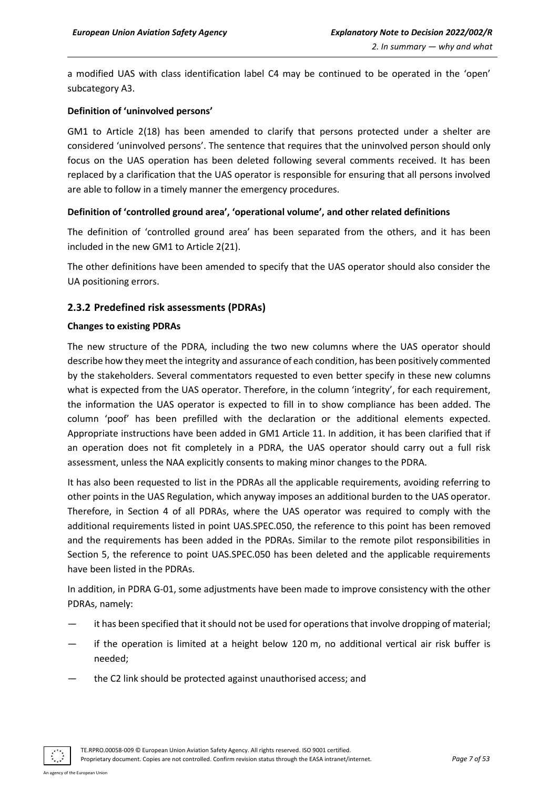a modified UAS with class identification label C4 may be continued to be operated in the 'open' subcategory A3.

#### **Definition of 'uninvolved persons'**

GM1 to Article 2(18) has been amended to clarify that persons protected under a shelter are considered 'uninvolved persons'. The sentence that requires that the uninvolved person should only focus on the UAS operation has been deleted following several comments received. It has been replaced by a clarification that the UAS operator is responsible for ensuring that all persons involved are able to follow in a timely manner the emergency procedures.

#### **Definition of 'controlled ground area', 'operational volume', and other related definitions**

The definition of 'controlled ground area' has been separated from the others, and it has been included in the new GM1 to Article 2(21).

The other definitions have been amended to specify that the UAS operator should also consider the UA positioning errors.

## <span id="page-6-0"></span>**2.3.2 Predefined risk assessments (PDRAs)**

#### **Changes to existing PDRAs**

The new structure of the PDRA, including the two new columns where the UAS operator should describe how they meet the integrity and assurance of each condition, has been positively commented by the stakeholders. Several commentators requested to even better specify in these new columns what is expected from the UAS operator. Therefore, in the column 'integrity', for each requirement, the information the UAS operator is expected to fill in to show compliance has been added. The column 'poof' has been prefilled with the declaration or the additional elements expected. Appropriate instructions have been added in GM1 Article 11. In addition, it has been clarified that if an operation does not fit completely in a PDRA, the UAS operator should carry out a full risk assessment, unless the NAA explicitly consents to making minor changes to the PDRA.

It has also been requested to list in the PDRAs all the applicable requirements, avoiding referring to other points in the UAS Regulation, which anyway imposes an additional burden to the UAS operator. Therefore, in Section 4 of all PDRAs, where the UAS operator was required to comply with the additional requirements listed in point UAS.SPEC.050, the reference to this point has been removed and the requirements has been added in the PDRAs. Similar to the remote pilot responsibilities in Section 5, the reference to point UAS.SPEC.050 has been deleted and the applicable requirements have been listed in the PDRAs.

In addition, in PDRA G-01, some adjustments have been made to improve consistency with the other PDRAs, namely:

- it has been specified that it should not be used for operations that involve dropping of material;
- if the operation is limited at a height below 120 m, no additional vertical air risk buffer is needed;
- the C2 link should be protected against unauthorised access; and



TE.RPRO.00058-009 © European Union Aviation Safety Agency. All rights reserved. ISO 9001 certified. Proprietary document. Copies are not controlled. Confirm revision status through the EASA intranet/internet. *Page 7 of 53*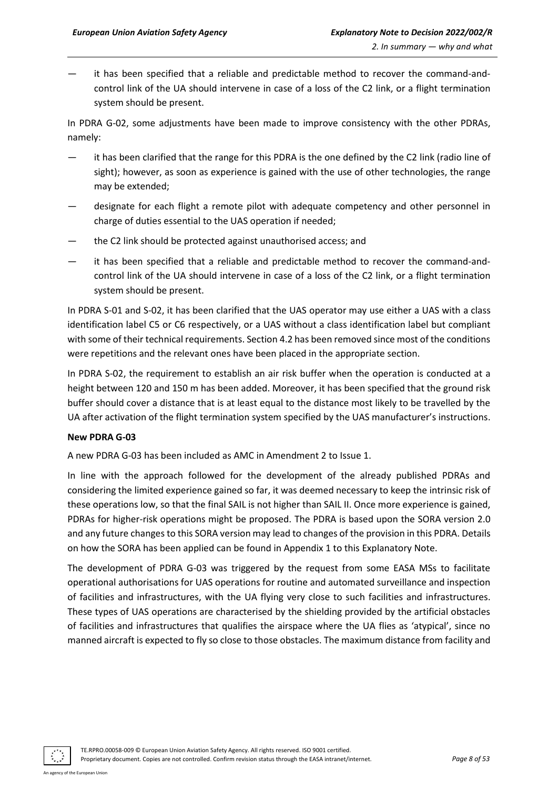it has been specified that a reliable and predictable method to recover the command-andcontrol link of the UA should intervene in case of a loss of the C2 link, or a flight termination system should be present.

In PDRA G-02, some adjustments have been made to improve consistency with the other PDRAs, namely:

- it has been clarified that the range for this PDRA is the one defined by the C2 link (radio line of sight); however, as soon as experience is gained with the use of other technologies, the range may be extended;
- designate for each flight a remote pilot with adequate competency and other personnel in charge of duties essential to the UAS operation if needed;
- the C2 link should be protected against unauthorised access; and
- it has been specified that a reliable and predictable method to recover the command-andcontrol link of the UA should intervene in case of a loss of the C2 link, or a flight termination system should be present.

In PDRA S-01 and S-02, it has been clarified that the UAS operator may use either a UAS with a class identification label C5 or C6 respectively, or a UAS without a class identification label but compliant with some of their technical requirements. Section 4.2 has been removed since most of the conditions were repetitions and the relevant ones have been placed in the appropriate section.

In PDRA S-02, the requirement to establish an air risk buffer when the operation is conducted at a height between 120 and 150 m has been added. Moreover, it has been specified that the ground risk buffer should cover a distance that is at least equal to the distance most likely to be travelled by the UA after activation of the flight termination system specified by the UAS manufacturer's instructions.

#### **New PDRA G-03**

A new PDRA G-03 has been included as AMC in Amendment 2 to Issue 1.

In line with the approach followed for the development of the already published PDRAs and considering the limited experience gained so far, it was deemed necessary to keep the intrinsic risk of these operations low, so that the final SAIL is not higher than SAIL II. Once more experience is gained, PDRAs for higher-risk operations might be proposed. The PDRA is based upon the SORA version 2.0 and any future changes to this SORA version may lead to changes of the provision in this PDRA. Details on how the SORA has been applied can be found in Appendix 1 to this Explanatory Note.

The development of PDRA G-03 was triggered by the request from some EASA MSs to facilitate operational authorisations for UAS operations for routine and automated surveillance and inspection of facilities and infrastructures, with the UA flying very close to such facilities and infrastructures. These types of UAS operations are characterised by the shielding provided by the artificial obstacles of facilities and infrastructures that qualifies the airspace where the UA flies as 'atypical', since no manned aircraft is expected to fly so close to those obstacles. The maximum distance from facility and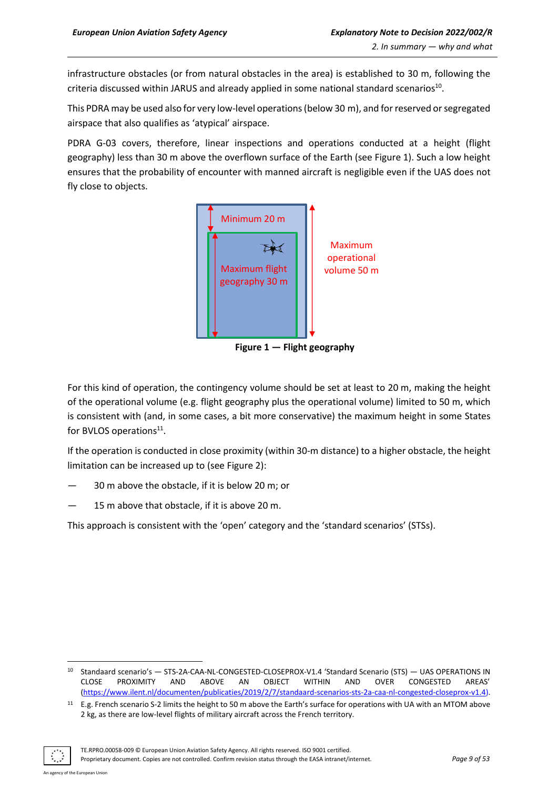infrastructure obstacles (or from natural obstacles in the area) is established to 30 m, following the criteria discussed within JARUS and already applied in some national standard scenarios<sup>10</sup>.

This PDRA may be used also for very low-level operations(below 30 m), and for reserved or segregated airspace that also qualifies as 'atypical' airspace.

PDRA G-03 covers, therefore, linear inspections and operations conducted at a height (flight geography) less than 30 m above the overflown surface of the Earth (see Figure 1). Such a low height ensures that the probability of encounter with manned aircraft is negligible even if the UAS does not fly close to objects.



**Figure 1 — Flight geography**

For this kind of operation, the contingency volume should be set at least to 20 m, making the height of the operational volume (e.g. flight geography plus the operational volume) limited to 50 m, which is consistent with (and, in some cases, a bit more conservative) the maximum height in some States for BVLOS operations<sup>11</sup>.

If the operation is conducted in close proximity (within 30-m distance) to a higher obstacle, the height limitation can be increased up to (see Figure 2):

- 30 m above the obstacle, if it is below 20 m; or
- 15 m above that obstacle, if it is above 20 m.

This approach is consistent with the 'open' category and the 'standard scenarios' (STSs).

 $11$  E.g. French scenario S-2 limits the height to 50 m above the Earth's surface for operations with UA with an MTOM above 2 kg, as there are low-level flights of military aircraft across the French territory.



<sup>10</sup> Standaard scenario's — STS-2A-CAA-NL-CONGESTED-CLOSEPROX-V1.4 'Standard Scenario (STS) — UAS OPERATIONS IN CLOSE PROXIMITY AND ABOVE AN OBJECT WITHIN AND OVER CONGESTED AREAS' [\(https://www.ilent.nl/documenten/publicaties/2019/2/7/standaard-scenarios-sts-2a-caa-nl-congested-closeprox-v1.4\)](https://www.ilent.nl/documenten/publicaties/2019/2/7/standaard-scenarios-sts-2a-caa-nl-congested-closeprox-v1.4).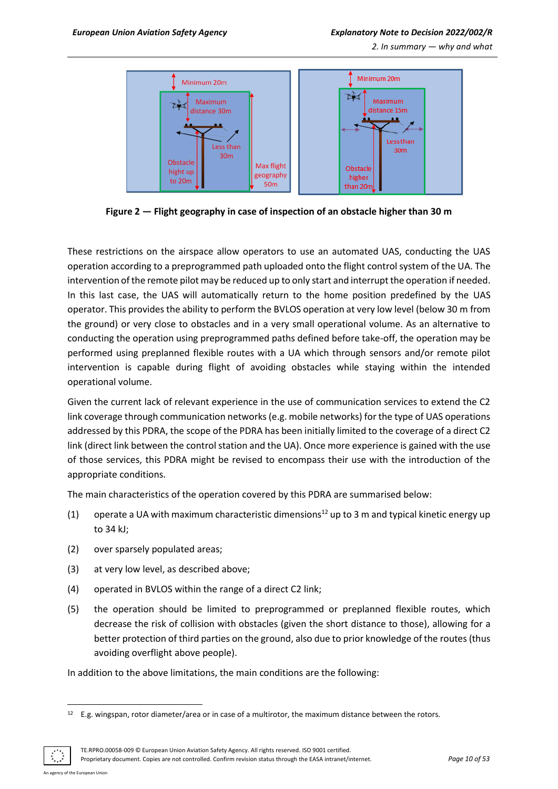*2. In summary — why and what*



**Figure 2 — Flight geography in case of inspection of an obstacle higher than 30 m**

These restrictions on the airspace allow operators to use an automated UAS, conducting the UAS operation according to a preprogrammed path uploaded onto the flight control system of the UA. The intervention of the remote pilot may be reduced up to only start and interrupt the operation if needed. In this last case, the UAS will automatically return to the home position predefined by the UAS operator. This provides the ability to perform the BVLOS operation at very low level (below 30 m from the ground) or very close to obstacles and in a very small operational volume. As an alternative to conducting the operation using preprogrammed paths defined before take-off, the operation may be performed using preplanned flexible routes with a UA which through sensors and/or remote pilot intervention is capable during flight of avoiding obstacles while staying within the intended operational volume.

Given the current lack of relevant experience in the use of communication services to extend the C2 link coverage through communication networks (e.g. mobile networks) for the type of UAS operations addressed by this PDRA, the scope of the PDRA has been initially limited to the coverage of a direct C2 link (direct link between the control station and the UA). Once more experience is gained with the use of those services, this PDRA might be revised to encompass their use with the introduction of the appropriate conditions.

The main characteristics of the operation covered by this PDRA are summarised below:

- (1) operate a UA with maximum characteristic dimensions<sup>12</sup> up to 3 m and typical kinetic energy up to 34 kJ;
- (2) over sparsely populated areas;
- (3) at very low level, as described above;
- (4) operated in BVLOS within the range of a direct C2 link;
- (5) the operation should be limited to preprogrammed or preplanned flexible routes, which decrease the risk of collision with obstacles (given the short distance to those), allowing for a better protection of third parties on the ground, also due to prior knowledge of the routes (thus avoiding overflight above people).

In addition to the above limitations, the main conditions are the following:

TE.RPRO.00058-009 © European Union Aviation Safety Agency. All rights reserved. ISO 9001 certified.

Proprietary document. Copies are not controlled. Confirm revision status through the EASA intranet/internet. *Page 10 of 53*

 $12$  E.g. wingspan, rotor diameter/area or in case of a multirotor, the maximum distance between the rotors.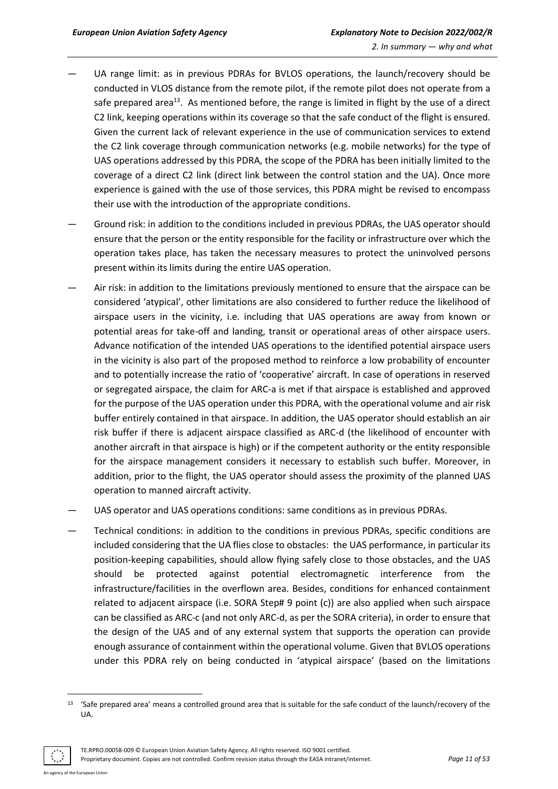- UA range limit: as in previous PDRAs for BVLOS operations, the launch/recovery should be conducted in VLOS distance from the remote pilot, if the remote pilot does not operate from a safe prepared area<sup>13</sup>. As mentioned before, the range is limited in flight by the use of a direct C2 link, keeping operations within its coverage so that the safe conduct of the flight is ensured. Given the current lack of relevant experience in the use of communication services to extend the C2 link coverage through communication networks (e.g. mobile networks) for the type of UAS operations addressed by this PDRA, the scope of the PDRA has been initially limited to the coverage of a direct C2 link (direct link between the control station and the UA). Once more experience is gained with the use of those services, this PDRA might be revised to encompass their use with the introduction of the appropriate conditions.
- Ground risk: in addition to the conditions included in previous PDRAs, the UAS operator should ensure that the person or the entity responsible for the facility or infrastructure over which the operation takes place, has taken the necessary measures to protect the uninvolved persons present within its limits during the entire UAS operation.
- Air risk: in addition to the limitations previously mentioned to ensure that the airspace can be considered 'atypical', other limitations are also considered to further reduce the likelihood of airspace users in the vicinity, i.e. including that UAS operations are away from known or potential areas for take-off and landing, transit or operational areas of other airspace users. Advance notification of the intended UAS operations to the identified potential airspace users in the vicinity is also part of the proposed method to reinforce a low probability of encounter and to potentially increase the ratio of 'cooperative' aircraft. In case of operations in reserved or segregated airspace, the claim for ARC-a is met if that airspace is established and approved for the purpose of the UAS operation under this PDRA, with the operational volume and air risk buffer entirely contained in that airspace. In addition, the UAS operator should establish an air risk buffer if there is adjacent airspace classified as ARC-d (the likelihood of encounter with another aircraft in that airspace is high) or if the competent authority or the entity responsible for the airspace management considers it necessary to establish such buffer. Moreover, in addition, prior to the flight, the UAS operator should assess the proximity of the planned UAS operation to manned aircraft activity.
- UAS operator and UAS operations conditions: same conditions as in previous PDRAs.
- Technical conditions: in addition to the conditions in previous PDRAs, specific conditions are included considering that the UA flies close to obstacles: the UAS performance, in particular its position-keeping capabilities, should allow flying safely close to those obstacles, and the UAS should be protected against potential electromagnetic interference from the infrastructure/facilities in the overflown area. Besides, conditions for enhanced containment related to adjacent airspace (i.e. SORA Step# 9 point (c)) are also applied when such airspace can be classified as ARC-c (and not only ARC-d, as per the SORA criteria), in order to ensure that the design of the UAS and of any external system that supports the operation can provide enough assurance of containment within the operational volume. Given that BVLOS operations under this PDRA rely on being conducted in 'atypical airspace' (based on the limitations

<sup>&</sup>lt;sup>13</sup> 'Safe prepared area' means a controlled ground area that is suitable for the safe conduct of the launch/recovery of the UA.



Proprietary document. Copies are not controlled. Confirm revision status through the EASA intranet/internet. *Page 11 of 53*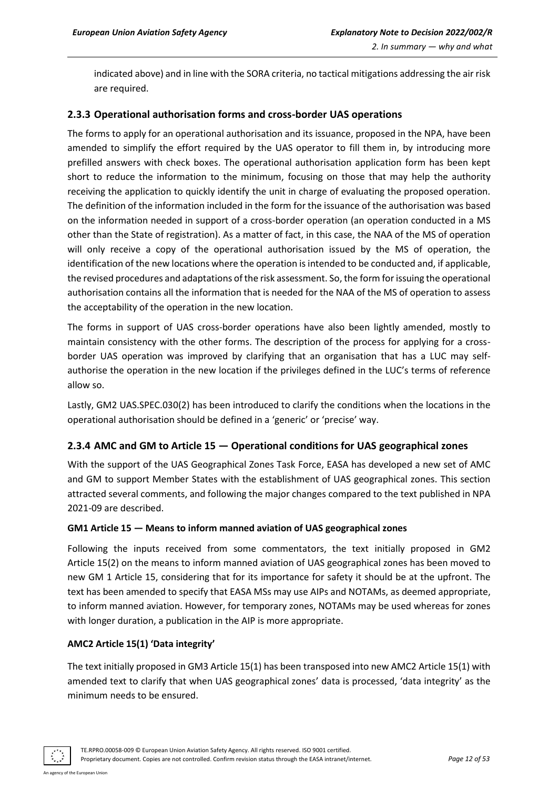indicated above) and in line with the SORA criteria, no tactical mitigations addressing the air risk are required.

## <span id="page-11-0"></span>**2.3.3 Operational authorisation forms and cross-border UAS operations**

The forms to apply for an operational authorisation and its issuance, proposed in the NPA, have been amended to simplify the effort required by the UAS operator to fill them in, by introducing more prefilled answers with check boxes. The operational authorisation application form has been kept short to reduce the information to the minimum, focusing on those that may help the authority receiving the application to quickly identify the unit in charge of evaluating the proposed operation. The definition of the information included in the form for the issuance of the authorisation was based on the information needed in support of a cross-border operation (an operation conducted in a MS other than the State of registration). As a matter of fact, in this case, the NAA of the MS of operation will only receive a copy of the operational authorisation issued by the MS of operation, the identification of the new locations where the operation is intended to be conducted and, if applicable, the revised procedures and adaptations of the risk assessment. So, the form for issuing the operational authorisation contains all the information that is needed for the NAA of the MS of operation to assess the acceptability of the operation in the new location.

The forms in support of UAS cross-border operations have also been lightly amended, mostly to maintain consistency with the other forms. The description of the process for applying for a crossborder UAS operation was improved by clarifying that an organisation that has a LUC may selfauthorise the operation in the new location if the privileges defined in the LUC's terms of reference allow so.

Lastly, GM2 UAS.SPEC.030(2) has been introduced to clarify the conditions when the locations in the operational authorisation should be defined in a 'generic' or 'precise' way.

# <span id="page-11-1"></span>**2.3.4 AMC and GM to Article 15 — Operational conditions for UAS geographical zones**

With the support of the UAS Geographical Zones Task Force, EASA has developed a new set of AMC and GM to support Member States with the establishment of UAS geographical zones. This section attracted several comments, and following the major changes compared to the text published in NPA 2021-09 are described.

#### **GM1 Article 15 — Means to inform manned aviation of UAS geographical zones**

Following the inputs received from some commentators, the text initially proposed in GM2 Article 15(2) on the means to inform manned aviation of UAS geographical zones has been moved to new GM 1 Article 15, considering that for its importance for safety it should be at the upfront. The text has been amended to specify that EASA MSs may use AIPs and NOTAMs, as deemed appropriate, to inform manned aviation. However, for temporary zones, NOTAMs may be used whereas for zones with longer duration, a publication in the AIP is more appropriate.

#### **AMC2 Article 15(1) 'Data integrity'**

The text initially proposed in GM3 Article 15(1) has been transposed into new AMC2 Article 15(1) with amended text to clarify that when UAS geographical zones' data is processed, 'data integrity' as the minimum needs to be ensured.

agency of the European Union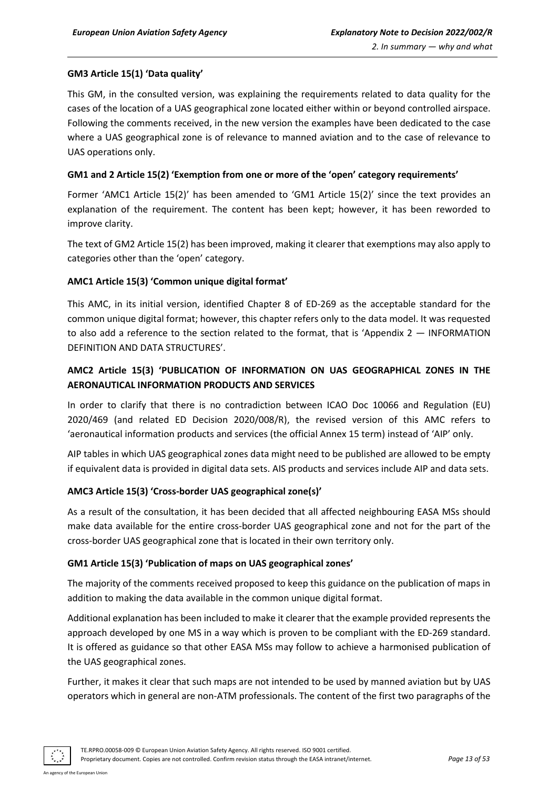# **GM3 Article 15(1) 'Data quality'**

This GM, in the consulted version, was explaining the requirements related to data quality for the cases of the location of a UAS geographical zone located either within or beyond controlled airspace. Following the comments received, in the new version the examples have been dedicated to the case where a UAS geographical zone is of relevance to manned aviation and to the case of relevance to UAS operations only.

## **GM1 and 2 Article 15(2) 'Exemption from one or more of the 'open' category requirements'**

Former 'AMC1 Article 15(2)' has been amended to 'GM1 Article 15(2)' since the text provides an explanation of the requirement. The content has been kept; however, it has been reworded to improve clarity.

The text of GM2 Article 15(2) has been improved, making it clearer that exemptions may also apply to categories other than the 'open' category.

## **AMC1 Article 15(3) 'Common unique digital format'**

This AMC, in its initial version, identified Chapter 8 of ED-269 as the acceptable standard for the common unique digital format; however, this chapter refers only to the data model. It was requested to also add a reference to the section related to the format, that is 'Appendix 2 — INFORMATION DEFINITION AND DATA STRUCTURES'.

# **AMC2 Article 15(3) 'PUBLICATION OF INFORMATION ON UAS GEOGRAPHICAL ZONES IN THE AERONAUTICAL INFORMATION PRODUCTS AND SERVICES**

In order to clarify that there is no contradiction between ICAO Doc 10066 and Regulation (EU) 2020/469 (and related ED Decision 2020/008/R), the revised version of this AMC refers to 'aeronautical information products and services (the official Annex 15 term) instead of 'AIP' only.

AIP tables in which UAS geographical zones data might need to be published are allowed to be empty if equivalent data is provided in digital data sets. AIS products and services include AIP and data sets.

# **AMC3 Article 15(3) 'Cross-border UAS geographical zone(s)'**

As a result of the consultation, it has been decided that all affected neighbouring EASA MSs should make data available for the entire cross-border UAS geographical zone and not for the part of the cross-border UAS geographical zone that is located in their own territory only.

#### **GM1 Article 15(3) 'Publication of maps on UAS geographical zones'**

The majority of the comments received proposed to keep this guidance on the publication of maps in addition to making the data available in the common unique digital format.

Additional explanation has been included to make it clearer that the example provided represents the approach developed by one MS in a way which is proven to be compliant with the ED-269 standard. It is offered as guidance so that other EASA MSs may follow to achieve a harmonised publication of the UAS geographical zones.

Further, it makes it clear that such maps are not intended to be used by manned aviation but by UAS operators which in general are non-ATM professionals. The content of the first two paragraphs of the

An agency of the European Union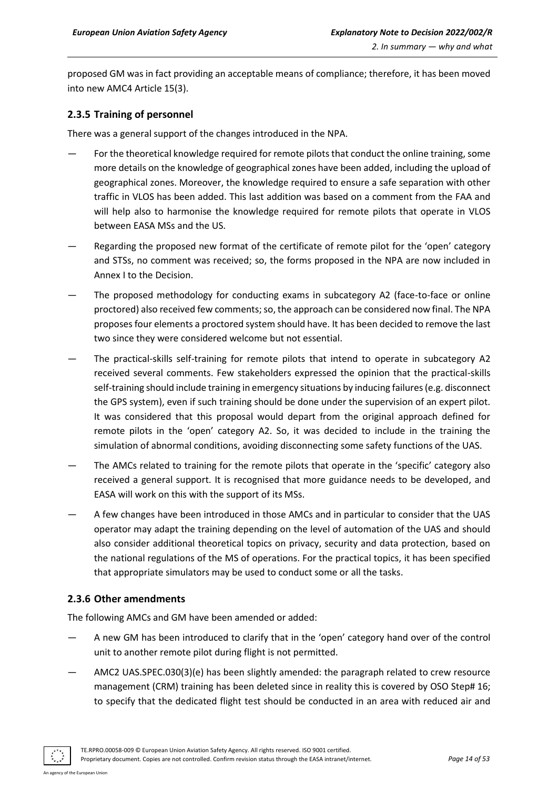proposed GM was in fact providing an acceptable means of compliance; therefore, it has been moved into new AMC4 Article 15(3).

# <span id="page-13-0"></span>**2.3.5 Training of personnel**

There was a general support of the changes introduced in the NPA.

- For the theoretical knowledge required for remote pilots that conduct the online training, some more details on the knowledge of geographical zones have been added, including the upload of geographical zones. Moreover, the knowledge required to ensure a safe separation with other traffic in VLOS has been added. This last addition was based on a comment from the FAA and will help also to harmonise the knowledge required for remote pilots that operate in VLOS between EASA MSs and the US.
- Regarding the proposed new format of the certificate of remote pilot for the 'open' category and STSs, no comment was received; so, the forms proposed in the NPA are now included in Annex I to the Decision.
- The proposed methodology for conducting exams in subcategory A2 (face-to-face or online proctored) also received few comments;so, the approach can be considered now final. The NPA proposes four elements a proctored system should have. It has been decided to remove the last two since they were considered welcome but not essential.
- The practical-skills self-training for remote pilots that intend to operate in subcategory A2 received several comments. Few stakeholders expressed the opinion that the practical-skills self-training should include training in emergency situations by inducing failures (e.g. disconnect the GPS system), even if such training should be done under the supervision of an expert pilot. It was considered that this proposal would depart from the original approach defined for remote pilots in the 'open' category A2. So, it was decided to include in the training the simulation of abnormal conditions, avoiding disconnecting some safety functions of the UAS.
- The AMCs related to training for the remote pilots that operate in the 'specific' category also received a general support. It is recognised that more guidance needs to be developed, and EASA will work on this with the support of its MSs.
- A few changes have been introduced in those AMCs and in particular to consider that the UAS operator may adapt the training depending on the level of automation of the UAS and should also consider additional theoretical topics on privacy, security and data protection, based on the national regulations of the MS of operations. For the practical topics, it has been specified that appropriate simulators may be used to conduct some or all the tasks.

# <span id="page-13-1"></span>**2.3.6 Other amendments**

The following AMCs and GM have been amended or added:

- A new GM has been introduced to clarify that in the 'open' category hand over of the control unit to another remote pilot during flight is not permitted.
- AMC2 UAS.SPEC.030(3)(e) has been slightly amended: the paragraph related to crew resource management (CRM) training has been deleted since in reality this is covered by OSO Step# 16; to specify that the dedicated flight test should be conducted in an area with reduced air and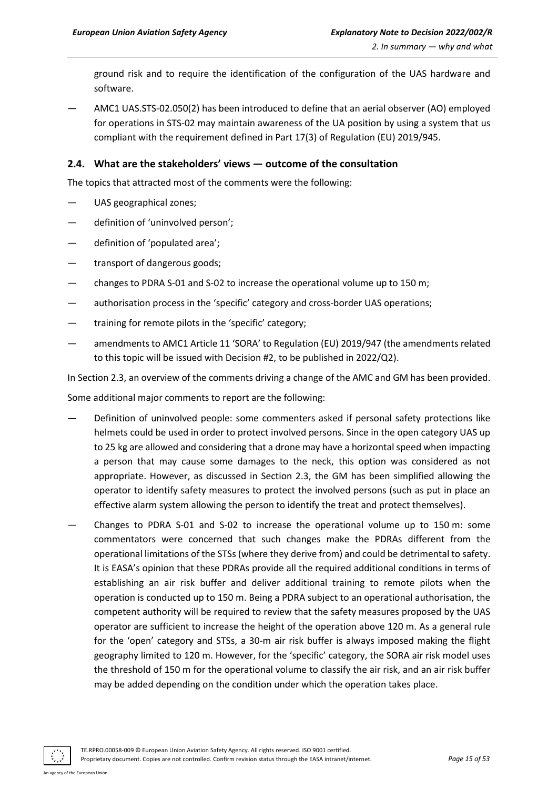ground risk and to require the identification of the configuration of the UAS hardware and software.

— AMC1 UAS.STS-02.050(2) has been introduced to define that an aerial observer (AO) employed for operations in STS-02 may maintain awareness of the UA position by using a system that us compliant with the requirement defined in Part 17(3) of Regulation (EU) 2019/945.

# <span id="page-14-0"></span>**2.4. What are the stakeholders' views — outcome of the consultation**

The topics that attracted most of the comments were the following:

- UAS geographical zones;
- definition of 'uninvolved person';
- definition of 'populated area';
- transport of dangerous goods;
- changes to PDRA S-01 and S-02 to increase the operational volume up to 150 m;
- authorisation process in the 'specific' category and cross-border UAS operations;
- training for remote pilots in the 'specific' category;
- amendments to AMC1 Article 11 'SORA' to Regulation (EU) 2019/947 (the amendments related to this topic will be issued with Decision #2, to be published in 2022/Q2).

In Section 2.3, an overview of the comments driving a change of the AMC and GM has been provided.

Some additional major comments to report are the following:

- Definition of uninvolved people: some commenters asked if personal safety protections like helmets could be used in order to protect involved persons. Since in the open category UAS up to 25 kg are allowed and considering that a drone may have a horizontal speed when impacting a person that may cause some damages to the neck, this option was considered as not appropriate. However, as discussed in Section 2.3, the GM has been simplified allowing the operator to identify safety measures to protect the involved persons (such as put in place an effective alarm system allowing the person to identify the treat and protect themselves).
- Changes to PDRA S-01 and S-02 to increase the operational volume up to 150 m: some commentators were concerned that such changes make the PDRAs different from the operational limitations of the STSs (where they derive from) and could be detrimental to safety. It is EASA's opinion that these PDRAs provide all the required additional conditions in terms of establishing an air risk buffer and deliver additional training to remote pilots when the operation is conducted up to 150 m. Being a PDRA subject to an operational authorisation, the competent authority will be required to review that the safety measures proposed by the UAS operator are sufficient to increase the height of the operation above 120 m. As a general rule for the 'open' category and STSs, a 30-m air risk buffer is always imposed making the flight geography limited to 120 m. However, for the 'specific' category, the SORA air risk model uses the threshold of 150 m for the operational volume to classify the air risk, and an air risk buffer may be added depending on the condition under which the operation takes place.

TE.RPRO.00058-009 © European Union Aviation Safety Agency. All rights reserved. ISO 9001 certified. Proprietary document. Copies are not controlled. Confirm revision status through the EASA intranet/internet. *Page 15 of 53*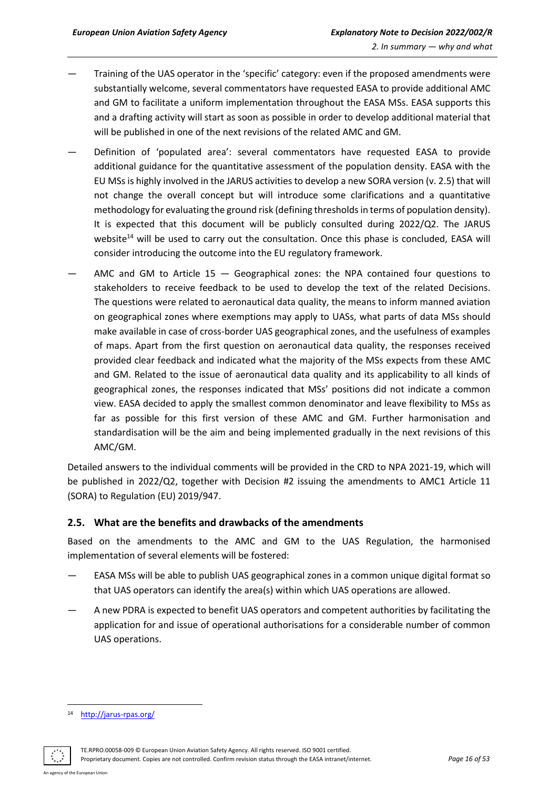- Training of the UAS operator in the 'specific' category: even if the proposed amendments were substantially welcome, several commentators have requested EASA to provide additional AMC and GM to facilitate a uniform implementation throughout the EASA MSs. EASA supports this and a drafting activity will start as soon as possible in order to develop additional material that will be published in one of the next revisions of the related AMC and GM.
- Definition of 'populated area': several commentators have requested EASA to provide additional guidance for the quantitative assessment of the population density. EASA with the EU MSs is highly involved in the JARUS activities to develop a new SORA version (v. 2.5) that will not change the overall concept but will introduce some clarifications and a quantitative methodology for evaluating the ground risk (defining thresholds in terms of population density). It is expected that this document will be publicly consulted during 2022/Q2. The JARUS website<sup>14</sup> will be used to carry out the consultation. Once this phase is concluded, EASA will consider introducing the outcome into the EU regulatory framework.
- AMC and GM to Article  $15$  Geographical zones: the NPA contained four questions to stakeholders to receive feedback to be used to develop the text of the related Decisions. The questions were related to aeronautical data quality, the means to inform manned aviation on geographical zones where exemptions may apply to UASs, what parts of data MSs should make available in case of cross-border UAS geographical zones, and the usefulness of examples of maps. Apart from the first question on aeronautical data quality, the responses received provided clear feedback and indicated what the majority of the MSs expects from these AMC and GM. Related to the issue of aeronautical data quality and its applicability to all kinds of geographical zones, the responses indicated that MSs' positions did not indicate a common view. EASA decided to apply the smallest common denominator and leave flexibility to MSs as far as possible for this first version of these AMC and GM. Further harmonisation and standardisation will be the aim and being implemented gradually in the next revisions of this AMC/GM.

Detailed answers to the individual comments will be provided in the CRD to NPA 2021-19, which will be published in 2022/Q2, together with Decision #2 issuing the amendments to AMC1 Article 11 (SORA) to Regulation (EU) 2019/947.

# <span id="page-15-0"></span>**2.5. What are the benefits and drawbacks of the amendments**

Based on the amendments to the AMC and GM to the UAS Regulation, the harmonised implementation of several elements will be fostered:

- EASA MSs will be able to publish UAS geographical zones in a common unique digital format so that UAS operators can identify the area(s) within which UAS operations are allowed.
- A new PDRA is expected to benefit UAS operators and competent authorities by facilitating the application for and issue of operational authorisations for a considerable number of common UAS operations.

TE.RPRO.00058-009 © European Union Aviation Safety Agency. All rights reserved. ISO 9001 certified. Proprietary document. Copies are not controlled. Confirm revision status through the EASA intranet/internet. *Page 16 of 53*

<sup>14</sup> <http://jarus-rpas.org/>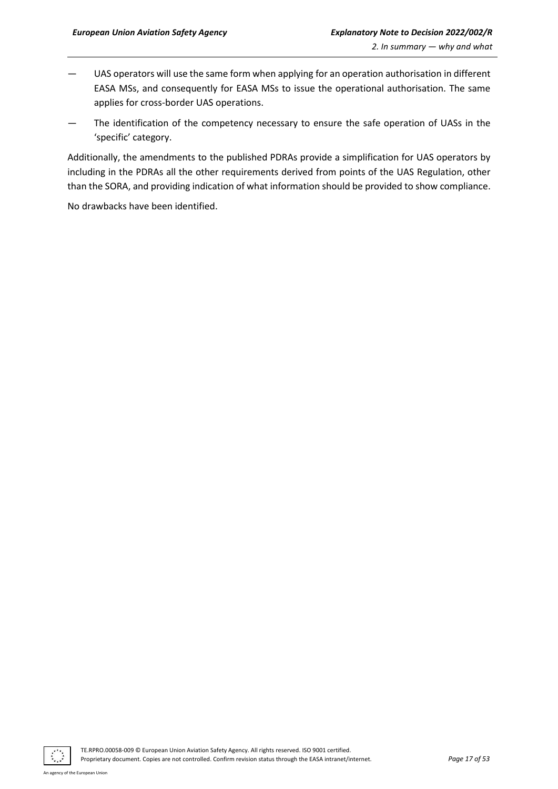- UAS operators will use the same form when applying for an operation authorisation in different EASA MSs, and consequently for EASA MSs to issue the operational authorisation. The same applies for cross-border UAS operations.
- The identification of the competency necessary to ensure the safe operation of UASs in the 'specific' category.

Additionally, the amendments to the published PDRAs provide a simplification for UAS operators by including in the PDRAs all the other requirements derived from points of the UAS Regulation, other than the SORA, and providing indication of what information should be provided to show compliance.

No drawbacks have been identified.

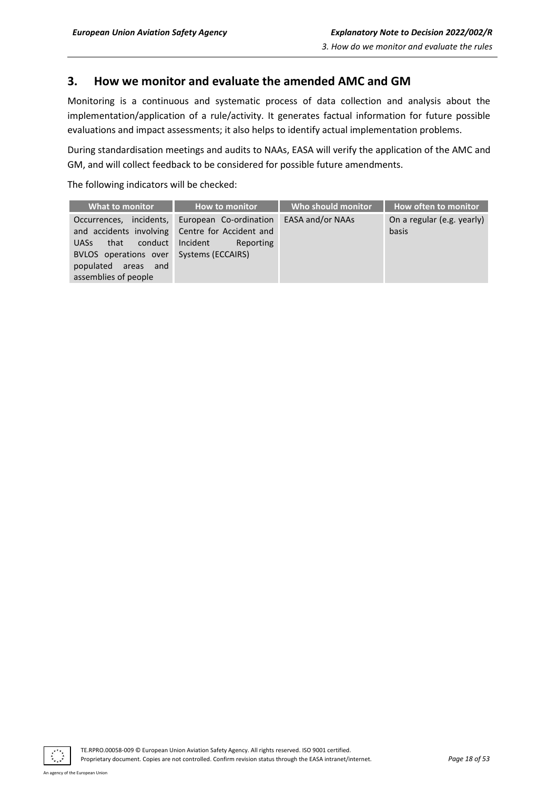# <span id="page-17-0"></span>**3. How we monitor and evaluate the amended AMC and GM**

Monitoring is a continuous and systematic process of data collection and analysis about the implementation/application of a rule/activity. It generates factual information for future possible evaluations and impact assessments; it also helps to identify actual implementation problems.

During standardisation meetings and audits to NAAs, EASA will verify the application of the AMC and GM, and will collect feedback to be considered for possible future amendments.

The following indicators will be checked:

| <b>What to monitor</b>                                                                                                                                          | <b>How to monitor</b>                                                                           | Who should monitor | How often to monitor                |
|-----------------------------------------------------------------------------------------------------------------------------------------------------------------|-------------------------------------------------------------------------------------------------|--------------------|-------------------------------------|
| incidents,<br>Occurrences,<br>and accidents involving<br>conduct<br>that<br><b>UASs</b><br>BVLOS operations over<br>populated areas and<br>assemblies of people | European Co-ordination<br>Centre for Accident and<br>Incident<br>Reporting<br>Systems (ECCAIRS) | EASA and/or NAAs   | On a regular (e.g. yearly)<br>basis |

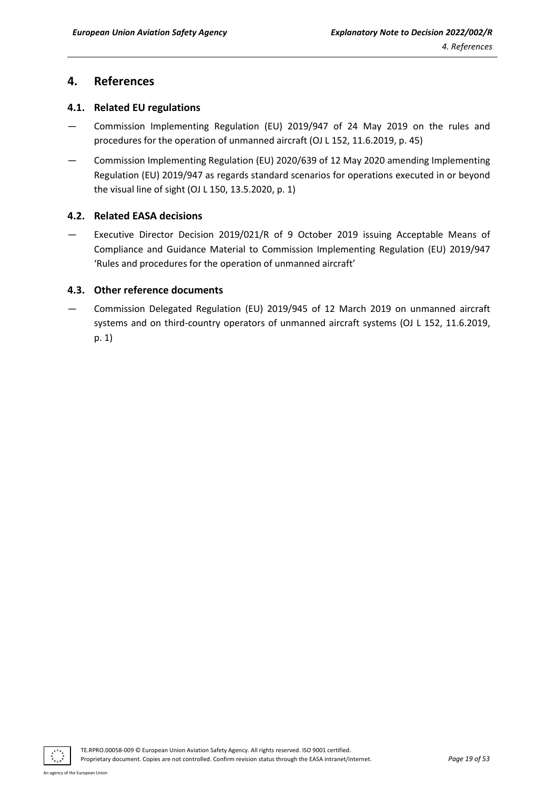# <span id="page-18-0"></span>**4. References**

# <span id="page-18-1"></span>**4.1. Related EU regulations**

- Commission Implementing Regulation (EU) 2019/947 of 24 May 2019 on the rules and procedures for the operation of unmanned aircraft (OJ L 152, 11.6.2019, p. 45)
- Commission Implementing Regulation (EU) 2020/639 of 12 May 2020 amending Implementing Regulation (EU) 2019/947 as regards standard scenarios for operations executed in or beyond the visual line of sight (OJ L 150, 13.5.2020, p. 1)

# <span id="page-18-2"></span>**4.2. Related EASA decisions**

— Executive Director Decision 2019/021/R of 9 October 2019 issuing Acceptable Means of Compliance and Guidance Material to Commission Implementing Regulation (EU) 2019/947 'Rules and procedures for the operation of unmanned aircraft'

# <span id="page-18-3"></span>**4.3. Other reference documents**

— Commission Delegated Regulation (EU) 2019/945 of 12 March 2019 on unmanned aircraft systems and on third-country operators of unmanned aircraft systems (OJ L 152, 11.6.2019, p. 1)

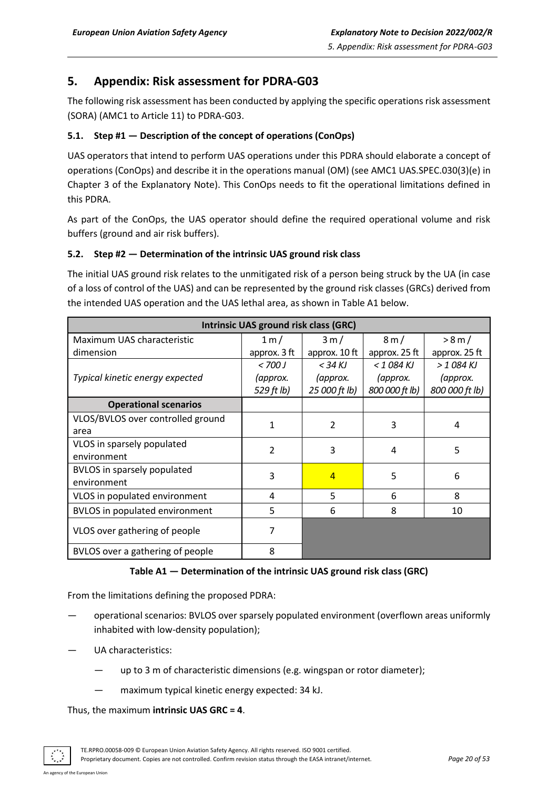<span id="page-19-0"></span>The following risk assessment has been conducted by applying the specific operations risk assessment (SORA) (AMC1 to Article 11) to PDRA-G03.

# <span id="page-19-1"></span>**5.1. Step #1 — Description of the concept of operations (ConOps)**

UAS operators that intend to perform UAS operations under this PDRA should elaborate a concept of operations (ConOps) and describe it in the operations manual (OM) (see AMC1 UAS.SPEC.030(3)(e) in Chapter 3 of the Explanatory Note). This ConOps needs to fit the operational limitations defined in this PDRA.

As part of the ConOps, the UAS operator should define the required operational volume and risk buffers (ground and air risk buffers).

# <span id="page-19-2"></span>**5.2. Step #2 — Determination of the intrinsic UAS ground risk class**

The initial UAS ground risk relates to the unmitigated risk of a person being struck by the UA (in case of a loss of control of the UAS) and can be represented by the ground risk classes (GRCs) derived from the intended UAS operation and the UAS lethal area, as shown in Table A1 below.

| <b>Intrinsic UAS ground risk class (GRC)</b> |                          |                |                |                |  |  |  |  |
|----------------------------------------------|--------------------------|----------------|----------------|----------------|--|--|--|--|
| Maximum UAS characteristic                   | 1 m/                     | 3 m/           | 8m/            | > 8 m/         |  |  |  |  |
| dimension                                    | approx. 3 ft             | approx. 10 ft  | approx. 25 ft  | approx. 25 ft  |  |  |  |  |
|                                              | < 700 J                  | $<$ 34 KJ      | $<$ 1 084 KJ   | $>$ 1084 KJ    |  |  |  |  |
| Typical kinetic energy expected              | (approx.                 | (approx.       | (approx.       | (approx.       |  |  |  |  |
|                                              | 529 ft lb)               | 25 000 ft lb)  | 800 000 ft lb) | 800 000 ft lb) |  |  |  |  |
| <b>Operational scenarios</b>                 |                          |                |                |                |  |  |  |  |
| VLOS/BVLOS over controlled ground            | 1                        | $\mathcal{P}$  | 3              | 4              |  |  |  |  |
| area                                         |                          |                |                |                |  |  |  |  |
| VLOS in sparsely populated                   | $\overline{\mathcal{L}}$ | 3              | 4              | 5              |  |  |  |  |
| environment                                  |                          |                |                |                |  |  |  |  |
| <b>BVLOS</b> in sparsely populated           | 3                        | $\overline{4}$ | 5              | 6              |  |  |  |  |
| environment                                  |                          |                |                |                |  |  |  |  |
| VLOS in populated environment                | 4                        | 5              | 6              | 8              |  |  |  |  |
| <b>BVLOS</b> in populated environment        | 5                        | 6              | 8              | 10             |  |  |  |  |
| VLOS over gathering of people                | 7                        |                |                |                |  |  |  |  |
| BVLOS over a gathering of people             | 8                        |                |                |                |  |  |  |  |

#### **Table A1 — Determination of the intrinsic UAS ground risk class (GRC)**

From the limitations defining the proposed PDRA:

- operational scenarios: BVLOS over sparsely populated environment (overflown areas uniformly inhabited with low-density population);
- UA characteristics:
	- up to 3 m of characteristic dimensions (e.g. wingspan or rotor diameter);
	- maximum typical kinetic energy expected: 34 kJ.

Thus, the maximum **intrinsic UAS GRC = 4**.

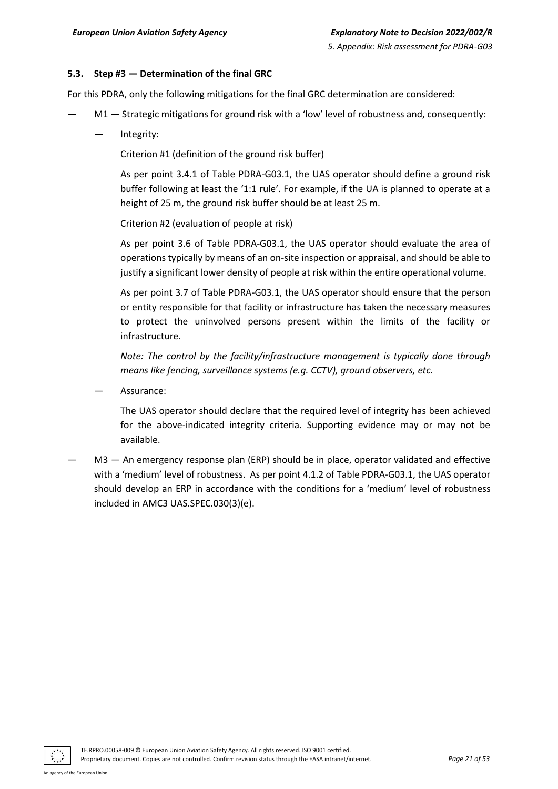#### <span id="page-20-0"></span>**5.3. Step #3 — Determination of the final GRC**

For this PDRA, only the following mitigations for the final GRC determination are considered:

- M1 Strategic mitigations for ground risk with a 'low' level of robustness and, consequently:
	- Integrity:

Criterion #1 (definition of the ground risk buffer)

As per point 3.4.1 of Table PDRA-G03.1, the UAS operator should define a ground risk buffer following at least the '1:1 rule'. For example, if the UA is planned to operate at a height of 25 m, the ground risk buffer should be at least 25 m.

Criterion #2 (evaluation of people at risk)

As per point 3.6 of Table PDRA-G03.1, the UAS operator should evaluate the area of operations typically by means of an on-site inspection or appraisal, and should be able to justify a significant lower density of people at risk within the entire operational volume.

As per point 3.7 of Table PDRA-G03.1, the UAS operator should ensure that the person or entity responsible for that facility or infrastructure has taken the necessary measures to protect the uninvolved persons present within the limits of the facility or infrastructure.

*Note: The control by the facility/infrastructure management is typically done through means like fencing, surveillance systems (e.g. CCTV), ground observers, etc.*

— Assurance:

The UAS operator should declare that the required level of integrity has been achieved for the above-indicated integrity criteria. Supporting evidence may or may not be available.

M3 — An emergency response plan (ERP) should be in place, operator validated and effective with a 'medium' level of robustness. As per point 4.1.2 of Table PDRA-G03.1, the UAS operator should develop an ERP in accordance with the conditions for a 'medium' level of robustness included in AMC3 UAS.SPEC.030(3)(e).

TE.RPRO.00058-009 © European Union Aviation Safety Agency. All rights reserved. ISO 9001 certified. Proprietary document. Copies are not controlled. Confirm revision status through the EASA intranet/internet. *Page 21 of 53*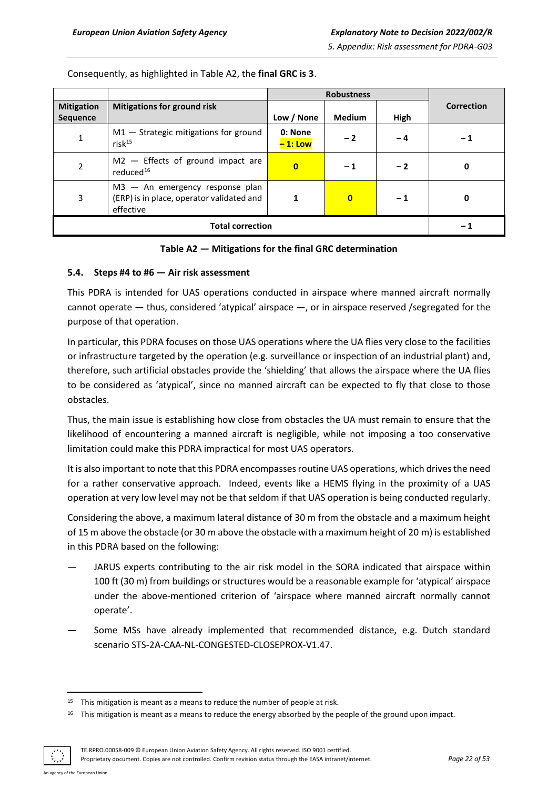| <b>Mitigation</b><br><b>Sequence</b> | <b>Mitigations for ground risk</b>                                                          | Low / None           | <b>Medium</b> | High | <b>Correction</b> |
|--------------------------------------|---------------------------------------------------------------------------------------------|----------------------|---------------|------|-------------------|
| 1                                    | $M1 -$ Strategic mitigations for ground<br>$risk^{15}$                                      | 0: None<br>$-1:$ Low | $-2$          | - 4  | - 1               |
| $\overline{2}$                       | $M2$ - Effects of ground impact are<br>reduced <sup>16</sup>                                | $\bf{0}$             | - 1           | $-2$ | 0                 |
| 3                                    | $M3 - An$ emergency response plan<br>(ERP) is in place, operator validated and<br>effective |                      | $\mathbf{0}$  | $-1$ | 0                 |
|                                      | - 1                                                                                         |                      |               |      |                   |

Consequently, as highlighted in Table A2, the **final GRC is 3**.

#### **Table A2 — Mitigations for the final GRC determination**

#### <span id="page-21-0"></span>**5.4. Steps #4 to #6 — Air risk assessment**

This PDRA is intended for UAS operations conducted in airspace where manned aircraft normally cannot operate — thus, considered 'atypical' airspace —, or in airspace reserved /segregated for the purpose of that operation.

In particular, this PDRA focuses on those UAS operations where the UA flies very close to the facilities or infrastructure targeted by the operation (e.g. surveillance or inspection of an industrial plant) and, therefore, such artificial obstacles provide the 'shielding' that allows the airspace where the UA flies to be considered as 'atypical', since no manned aircraft can be expected to fly that close to those obstacles.

Thus, the main issue is establishing how close from obstacles the UA must remain to ensure that the likelihood of encountering a manned aircraft is negligible, while not imposing a too conservative limitation could make this PDRA impractical for most UAS operators.

It is also important to note that this PDRA encompasses routine UAS operations, which drives the need for a rather conservative approach. Indeed, events like a HEMS flying in the proximity of a UAS operation at very low level may not be that seldom if that UAS operation is being conducted regularly.

Considering the above, a maximum lateral distance of 30 m from the obstacle and a maximum height of 15 m above the obstacle (or 30 m above the obstacle with a maximum height of 20 m) is established in this PDRA based on the following:

- JARUS experts contributing to the air risk model in the SORA indicated that airspace within 100 ft (30 m) from buildings or structures would be a reasonable example for 'atypical' airspace under the above-mentioned criterion of 'airspace where manned aircraft normally cannot operate'.
- Some MSs have already implemented that recommended distance, e.g. Dutch standard scenario STS-2A-CAA-NL-CONGESTED-CLOSEPROX-V1.47.

<sup>&</sup>lt;sup>16</sup> This mitigation is meant as a means to reduce the energy absorbed by the people of the ground upon impact.



TE.RPRO.00058-009 © European Union Aviation Safety Agency. All rights reserved. ISO 9001 certified.

Proprietary document. Copies are not controlled. Confirm revision status through the EASA intranet/internet. *Page 22 of 53*

<sup>&</sup>lt;sup>15</sup> This mitigation is meant as a means to reduce the number of people at risk.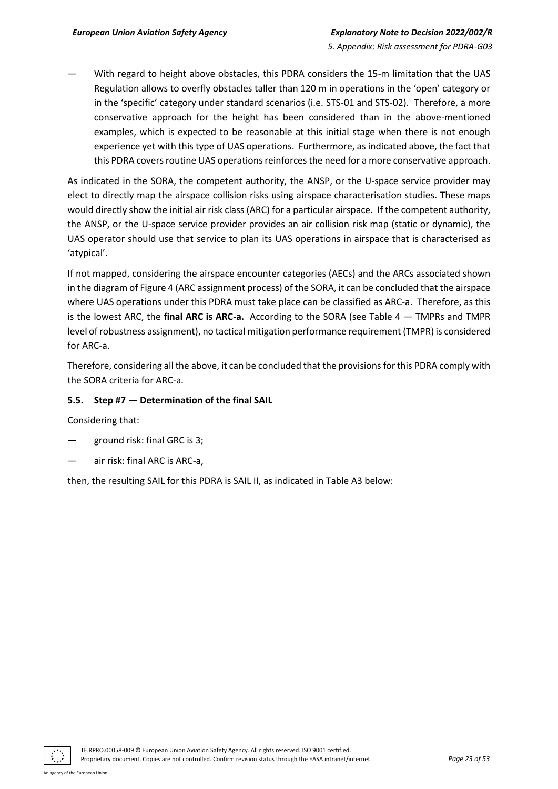With regard to height above obstacles, this PDRA considers the 15-m limitation that the UAS Regulation allows to overfly obstacles taller than 120 m in operations in the 'open' category or in the 'specific' category under standard scenarios (i.e. STS-01 and STS-02). Therefore, a more conservative approach for the height has been considered than in the above-mentioned examples, which is expected to be reasonable at this initial stage when there is not enough experience yet with this type of UAS operations. Furthermore, as indicated above, the fact that this PDRA covers routine UAS operations reinforces the need for a more conservative approach.

As indicated in the SORA, the competent authority, the ANSP, or the U-space service provider may elect to directly map the airspace collision risks using airspace characterisation studies. These maps would directly show the initial air risk class (ARC) for a particular airspace. If the competent authority, the ANSP, or the U-space service provider provides an air collision risk map (static or dynamic), the UAS operator should use that service to plan its UAS operations in airspace that is characterised as 'atypical'.

If not mapped, considering the airspace encounter categories (AECs) and the ARCs associated shown in the diagram of Figure 4 (ARC assignment process) of the SORA, it can be concluded that the airspace where UAS operations under this PDRA must take place can be classified as ARC-a. Therefore, as this is the lowest ARC, the **final ARC is ARC-a.** According to the SORA (see Table 4 — TMPRs and TMPR level of robustness assignment), no tactical mitigation performance requirement (TMPR) is considered for ARC-a.

Therefore, considering all the above, it can be concluded that the provisions for this PDRA comply with the SORA criteria for ARC-a.

## <span id="page-22-0"></span>**5.5. Step #7 — Determination of the final SAIL**

Considering that:

- ground risk: final GRC is 3;
- air risk: final ARC is ARC-a,

then, the resulting SAIL for this PDRA is SAIL II, as indicated in Table A3 below:

TE.RPRO.00058-009 © European Union Aviation Safety Agency. All rights reserved. ISO 9001 certified. Proprietary document. Copies are not controlled. Confirm revision status through the EASA intranet/internet. *Page 23 of 53*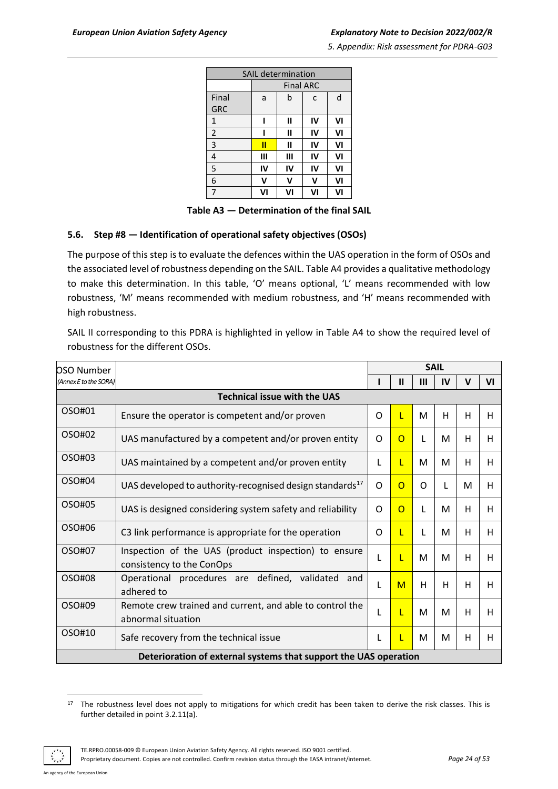| <b>SAIL determination</b> |    |                  |    |    |  |  |  |
|---------------------------|----|------------------|----|----|--|--|--|
|                           |    | <b>Final ARC</b> |    |    |  |  |  |
| Final                     | a  | b                | C  | d  |  |  |  |
| <b>GRC</b>                |    |                  |    |    |  |  |  |
| $\mathbf{1}$              |    | Ш                | IV | VI |  |  |  |
| $\overline{2}$            |    | Ш                | IV | VI |  |  |  |
| 3                         | П  | П                | IV | VI |  |  |  |
| $\overline{4}$            | Ш  | Ш                | IV | VI |  |  |  |
| 5                         | IV | IV               | IV | VI |  |  |  |
| 6                         | v  | v                | v  | VI |  |  |  |
| 7                         | V١ | VI               | VI | VI |  |  |  |

**Table A3 — Determination of the final SAIL**

#### <span id="page-23-0"></span>**5.6. Step #8 — Identification of operational safety objectives (OSOs)**

The purpose of this step is to evaluate the defences within the UAS operation in the form of OSOs and the associated level of robustness depending on the SAIL. Table A4 provides a qualitative methodology to make this determination. In this table, 'O' means optional, 'L' means recommended with low robustness, 'M' means recommended with medium robustness, and 'H' means recommended with high robustness.

SAIL II corresponding to this PDRA is highlighted in yellow in Table A4 to show the required level of robustness for the different OSOs.

| <b>OSO Number</b>     |                                                                                   |   |                |     | <b>SAIL</b> |   |    |  |  |  |  |
|-----------------------|-----------------------------------------------------------------------------------|---|----------------|-----|-------------|---|----|--|--|--|--|
| (Annex E to the SORA) |                                                                                   |   | $\mathbf{I}$   | III | IV          | v | VI |  |  |  |  |
|                       | <b>Technical issue with the UAS</b>                                               |   |                |     |             |   |    |  |  |  |  |
| OSO#01                | Ensure the operator is competent and/or proven                                    | O | L              | M   | H           | н | H  |  |  |  |  |
| OSO#02                | UAS manufactured by a competent and/or proven entity                              | O | $\overline{O}$ | L   | M           | H | H  |  |  |  |  |
| OSO#03                | UAS maintained by a competent and/or proven entity                                | L | L              | M   | M           | н | н  |  |  |  |  |
| OSO#04                | UAS developed to authority-recognised design standards <sup>17</sup>              | O | $\Omega$       | 0   | L           | м | н  |  |  |  |  |
| OSO#05                | UAS is designed considering system safety and reliability                         | O | $\Omega$       | L   | M           | н | н  |  |  |  |  |
| OSO#06                | C3 link performance is appropriate for the operation                              | O | L              | L   | M           | H | H  |  |  |  |  |
| OSO#07                | Inspection of the UAS (product inspection) to ensure<br>consistency to the ConOps | L | L              | M   | M           | н | H  |  |  |  |  |
| OSO#08                | Operational procedures are defined, validated<br>and<br>adhered to                | L | M              | н   | H           | н | н  |  |  |  |  |
| OSO#09                | Remote crew trained and current, and able to control the<br>abnormal situation    | L | L              | M   | M           | н | H  |  |  |  |  |
| OSO#10                | Safe recovery from the technical issue                                            | L | L              | M   | M           | н | H  |  |  |  |  |
|                       | Deterioration of external systems that support the UAS operation                  |   |                |     |             |   |    |  |  |  |  |

<sup>&</sup>lt;sup>17</sup> The robustness level does not apply to mitigations for which credit has been taken to derive the risk classes. This is further detailed in point 3.2.11(a).



Proprietary document. Copies are not controlled. Confirm revision status through the EASA intranet/internet. *Page 24 of 53*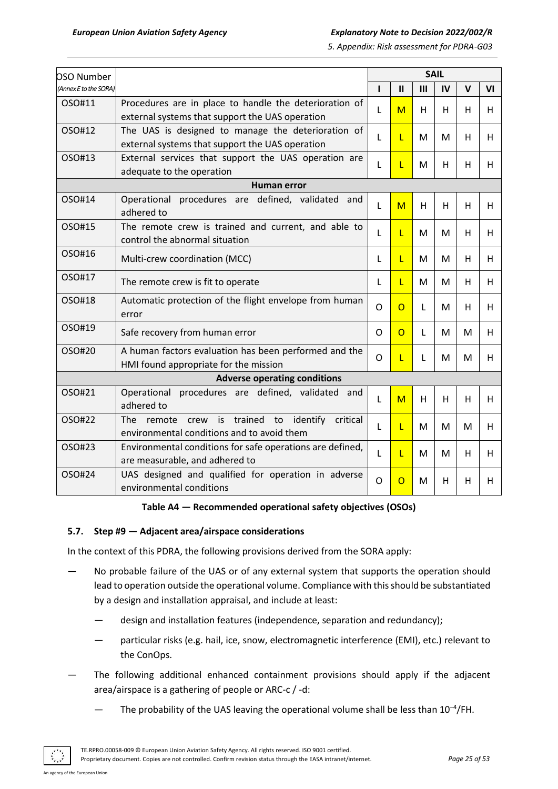| OSO Number            |                                                                                                                    |              |                |              | <b>SAIL</b> |    |    |
|-----------------------|--------------------------------------------------------------------------------------------------------------------|--------------|----------------|--------------|-------------|----|----|
| (Annex E to the SORA) |                                                                                                                    | п            | $\mathbf{II}$  | $\mathbf{m}$ | IV          | V  | VI |
| OSO#11                | Procedures are in place to handle the deterioration of<br>external systems that support the UAS operation          | L            | M              | H            | H           | H. | H. |
| OSO#12                | The UAS is designed to manage the deterioration of<br>external systems that support the UAS operation              | L            | L              | M            | M           | H  | H. |
| OSO#13                | External services that support the UAS operation are<br>adequate to the operation                                  | L            | L              | M            | н           | H. | H  |
|                       | Human error                                                                                                        |              |                |              |             |    |    |
| OSO#14                | Operational procedures are defined, validated<br>and<br>adhered to                                                 | L            | M              | Н            | H           | н  | H  |
| OSO#15                | The remote crew is trained and current, and able to<br>control the abnormal situation                              | L            | L              | M            | M           | H. | H. |
| OSO#16                | Multi-crew coordination (MCC)                                                                                      | L            | L              | M            | M           | H. | H  |
| OSO#17                | The remote crew is fit to operate                                                                                  | L            | L              | M            | M           | H. | H  |
| OSO#18                | Automatic protection of the flight envelope from human<br>error                                                    | $\mathsf{O}$ | $\overline{O}$ | L            | M           | H  | H. |
| OSO#19                | Safe recovery from human error                                                                                     | O            | $\overline{O}$ | L            | M           | М  | H  |
| OSO#20                | A human factors evaluation has been performed and the<br>HMI found appropriate for the mission                     | O            | L              | L            | M           | M  | H. |
|                       | <b>Adverse operating conditions</b>                                                                                |              |                |              |             |    |    |
| OSO#21                | Operational procedures are defined, validated and<br>adhered to                                                    | L            | M              | H            | H           | H  | H  |
| OSO#22                | trained<br>The<br>to<br>identify<br>critical<br>is<br>remote<br>crew<br>environmental conditions and to avoid them | L            | L              | M            | M           | М  | H  |
| OSO#23                | Environmental conditions for safe operations are defined,<br>are measurable, and adhered to                        | L            | L              | M            | м           | H  | H  |
| OSO#24                | UAS designed and qualified for operation in adverse<br>environmental conditions                                    | $\circ$      | O              | M            | H           | H. | H  |

#### **Table A4 — Recommended operational safety objectives (OSOs)**

#### <span id="page-24-0"></span>**5.7. Step #9 — Adjacent area/airspace considerations**

In the context of this PDRA, the following provisions derived from the SORA apply:

- No probable failure of the UAS or of any external system that supports the operation should lead to operation outside the operational volume. Compliance with this should be substantiated by a design and installation appraisal, and include at least:
	- design and installation features (independence, separation and redundancy);
	- particular risks (e.g. hail, ice, snow, electromagnetic interference (EMI), etc.) relevant to the ConOps.
- The following additional enhanced containment provisions should apply if the adjacent area/airspace is a gathering of people or ARC-c / -d:
	- $-$  The probability of the UAS leaving the operational volume shall be less than 10<sup>-4</sup>/FH.

An agency of the European Union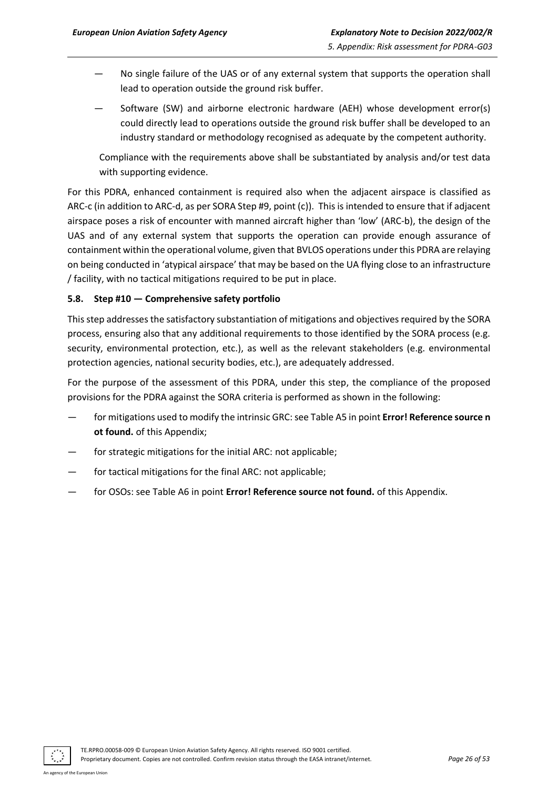- No single failure of the UAS or of any external system that supports the operation shall lead to operation outside the ground risk buffer.
- Software (SW) and airborne electronic hardware (AEH) whose development error(s) could directly lead to operations outside the ground risk buffer shall be developed to an industry standard or methodology recognised as adequate by the competent authority.

Compliance with the requirements above shall be substantiated by analysis and/or test data with supporting evidence.

For this PDRA, enhanced containment is required also when the adjacent airspace is classified as ARC-c (in addition to ARC-d, as per SORA Step #9, point (c)). This is intended to ensure that if adjacent airspace poses a risk of encounter with manned aircraft higher than 'low' (ARC-b), the design of the UAS and of any external system that supports the operation can provide enough assurance of containment within the operational volume, given that BVLOS operations under this PDRA are relaying on being conducted in 'atypical airspace' that may be based on the UA flying close to an infrastructure / facility, with no tactical mitigations required to be put in place.

## <span id="page-25-0"></span>**5.8. Step #10 — Comprehensive safety portfolio**

This step addresses the satisfactory substantiation of mitigations and objectives required by the SORA process, ensuring also that any additional requirements to those identified by the SORA process (e.g. security, environmental protection, etc.), as well as the relevant stakeholders (e.g. environmental protection agencies, national security bodies, etc.), are adequately addressed.

For the purpose of the assessment of this PDRA, under this step, the compliance of the proposed provisions for the PDRA against the SORA criteria is performed as shown in the following:

- for mitigations used to modify the intrinsic GRC: see Table A5 in point **Error! Reference source n ot found.** of this Appendix;
- for strategic mitigations for the initial ARC: not applicable;
- for tactical mitigations for the final ARC: not applicable;
- for OSOs: see Table A6 in point **Error! Reference source not found.** of this Appendix.

TE.RPRO.00058-009 © European Union Aviation Safety Agency. All rights reserved. ISO 9001 certified. Proprietary document. Copies are not controlled. Confirm revision status through the EASA intranet/internet. *Page 26 of 53*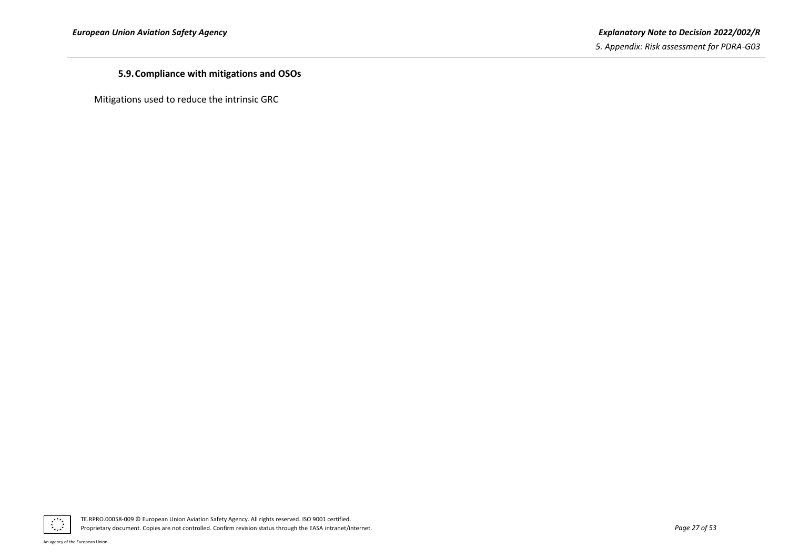## **5.9.Compliance with mitigations and OSOs**

<span id="page-26-0"></span>Mitigations used to reduce the intrinsic GRC

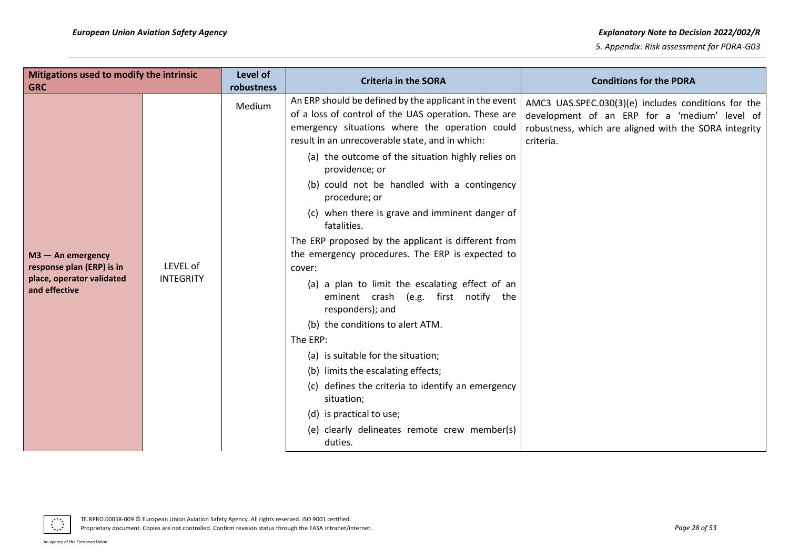| Mitigations used to modify the intrinsic<br><b>GRC</b> |                  | Level of<br>robustness | <b>Criteria in the SORA</b>                                                                                                                                                                                                                                              | <b>Conditions for the PDRA</b>                                                                                                                                             |
|--------------------------------------------------------|------------------|------------------------|--------------------------------------------------------------------------------------------------------------------------------------------------------------------------------------------------------------------------------------------------------------------------|----------------------------------------------------------------------------------------------------------------------------------------------------------------------------|
|                                                        |                  | Medium                 | An ERP should be defined by the applicant in the event<br>of a loss of control of the UAS operation. These are<br>emergency situations where the operation could<br>result in an unrecoverable state, and in which:<br>(a) the outcome of the situation highly relies on | AMC3 UAS.SPEC.030(3)(e) includes conditions for the<br>development of an ERP for a 'medium' level of<br>robustness, which are aligned with the SORA integrity<br>criteria. |
|                                                        |                  |                        | providence; or<br>(b) could not be handled with a contingency<br>procedure; or                                                                                                                                                                                           |                                                                                                                                                                            |
|                                                        |                  |                        | (c) when there is grave and imminent danger of<br>fatalities.                                                                                                                                                                                                            |                                                                                                                                                                            |
|                                                        |                  |                        | The ERP proposed by the applicant is different from                                                                                                                                                                                                                      |                                                                                                                                                                            |
| $M3 - An$ emergency                                    |                  |                        | the emergency procedures. The ERP is expected to                                                                                                                                                                                                                         |                                                                                                                                                                            |
| response plan (ERP) is in                              | LEVEL of         |                        | cover:                                                                                                                                                                                                                                                                   |                                                                                                                                                                            |
| place, operator validated<br>and effective             | <b>INTEGRITY</b> |                        | (a) a plan to limit the escalating effect of an<br>eminent crash (e.g. first notify the<br>responders); and                                                                                                                                                              |                                                                                                                                                                            |
|                                                        |                  |                        | (b) the conditions to alert ATM.                                                                                                                                                                                                                                         |                                                                                                                                                                            |
|                                                        |                  |                        | The ERP:                                                                                                                                                                                                                                                                 |                                                                                                                                                                            |
|                                                        |                  |                        | (a) is suitable for the situation;                                                                                                                                                                                                                                       |                                                                                                                                                                            |
|                                                        |                  |                        | (b) limits the escalating effects;                                                                                                                                                                                                                                       |                                                                                                                                                                            |
|                                                        |                  |                        | (c) defines the criteria to identify an emergency<br>situation;                                                                                                                                                                                                          |                                                                                                                                                                            |
|                                                        |                  |                        | (d) is practical to use;                                                                                                                                                                                                                                                 |                                                                                                                                                                            |
|                                                        |                  |                        | (e) clearly delineates remote crew member(s)<br>duties.                                                                                                                                                                                                                  |                                                                                                                                                                            |



An agency of the European Union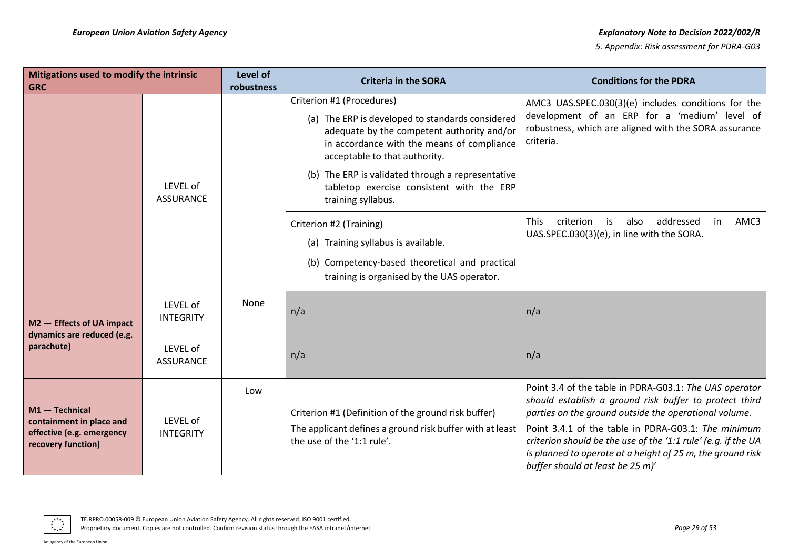| Mitigations used to modify the intrinsic<br><b>GRC</b>                                          |                              | Level of<br>robustness | <b>Criteria in the SORA</b>                                                                                                                                                   | <b>Conditions for the PDRA</b>                                                                                                                                                                                                                                                                                                                                                                      |
|-------------------------------------------------------------------------------------------------|------------------------------|------------------------|-------------------------------------------------------------------------------------------------------------------------------------------------------------------------------|-----------------------------------------------------------------------------------------------------------------------------------------------------------------------------------------------------------------------------------------------------------------------------------------------------------------------------------------------------------------------------------------------------|
|                                                                                                 |                              |                        | Criterion #1 (Procedures)                                                                                                                                                     | AMC3 UAS.SPEC.030(3)(e) includes conditions for the                                                                                                                                                                                                                                                                                                                                                 |
|                                                                                                 |                              |                        | (a) The ERP is developed to standards considered<br>adequate by the competent authority and/or<br>in accordance with the means of compliance<br>acceptable to that authority. | development of an ERP for a 'medium' level of<br>robustness, which are aligned with the SORA assurance<br>criteria.                                                                                                                                                                                                                                                                                 |
|                                                                                                 | LEVEL of<br><b>ASSURANCE</b> |                        | (b) The ERP is validated through a representative<br>tabletop exercise consistent with the ERP<br>training syllabus.                                                          |                                                                                                                                                                                                                                                                                                                                                                                                     |
|                                                                                                 |                              |                        | Criterion #2 (Training)<br>(a) Training syllabus is available.                                                                                                                | is<br>addressed<br>AMC3<br><b>This</b><br>criterion<br>also<br>in<br>UAS.SPEC.030(3)(e), in line with the SORA.                                                                                                                                                                                                                                                                                     |
|                                                                                                 |                              |                        | (b) Competency-based theoretical and practical<br>training is organised by the UAS operator.                                                                                  |                                                                                                                                                                                                                                                                                                                                                                                                     |
| M2 - Effects of UA impact                                                                       | LEVEL of<br><b>INTEGRITY</b> | None                   | n/a                                                                                                                                                                           | n/a                                                                                                                                                                                                                                                                                                                                                                                                 |
| dynamics are reduced (e.g.<br>parachute)                                                        | LEVEL of<br><b>ASSURANCE</b> |                        | n/a                                                                                                                                                                           | n/a                                                                                                                                                                                                                                                                                                                                                                                                 |
| $M1 - Technical$<br>containment in place and<br>effective (e.g. emergency<br>recovery function) | LEVEL of<br><b>INTEGRITY</b> | Low                    | Criterion #1 (Definition of the ground risk buffer)<br>The applicant defines a ground risk buffer with at least<br>the use of the '1:1 rule'.                                 | Point 3.4 of the table in PDRA-G03.1: The UAS operator<br>should establish a ground risk buffer to protect third<br>parties on the ground outside the operational volume.<br>Point 3.4.1 of the table in PDRA-G03.1: The minimum<br>criterion should be the use of the '1:1 rule' (e.g. if the UA<br>is planned to operate at a height of 25 m, the ground risk<br>buffer should at least be 25 m)' |

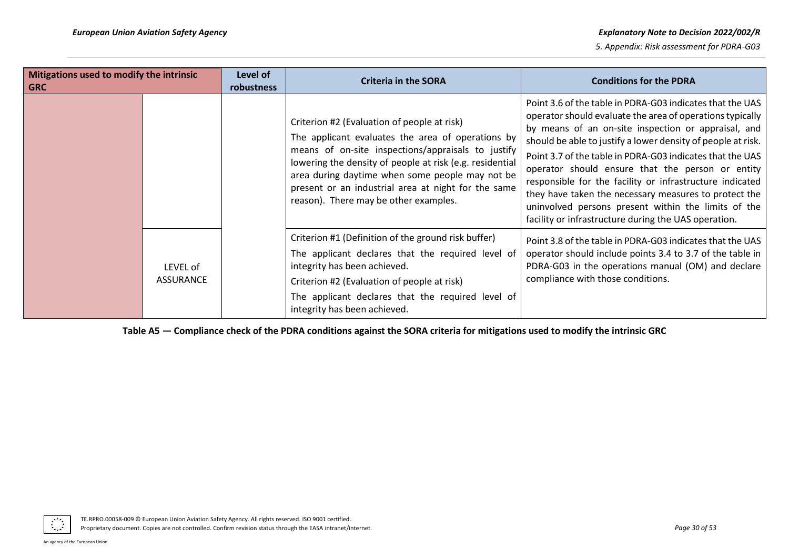| Mitigations used to modify the intrinsic<br>Level of<br><b>Criteria in the SORA</b><br>  GRC<br><b>robustness</b> |  | <b>Conditions for the PDRA</b>                                                                                                                                                                                                                                                                                                                                        |                                                                                                                                                                                                                                                                                                                                                                                                                                                                                                                                                                                                    |
|-------------------------------------------------------------------------------------------------------------------|--|-----------------------------------------------------------------------------------------------------------------------------------------------------------------------------------------------------------------------------------------------------------------------------------------------------------------------------------------------------------------------|----------------------------------------------------------------------------------------------------------------------------------------------------------------------------------------------------------------------------------------------------------------------------------------------------------------------------------------------------------------------------------------------------------------------------------------------------------------------------------------------------------------------------------------------------------------------------------------------------|
|                                                                                                                   |  | Criterion #2 (Evaluation of people at risk)<br>The applicant evaluates the area of operations by<br>means of on-site inspections/appraisals to justify<br>lowering the density of people at risk (e.g. residential<br>area during daytime when some people may not be<br>present or an industrial area at night for the same<br>reason). There may be other examples. | Point 3.6 of the table in PDRA-G03 indicates that the UAS<br>operator should evaluate the area of operations typically<br>by means of an on-site inspection or appraisal, and<br>should be able to justify a lower density of people at risk.<br>Point 3.7 of the table in PDRA-G03 indicates that the UAS<br>operator should ensure that the person or entity<br>responsible for the facility or infrastructure indicated<br>they have taken the necessary measures to protect the<br>uninvolved persons present within the limits of the<br>facility or infrastructure during the UAS operation. |
| LEVEL of<br><b>ASSURANCE</b>                                                                                      |  | Criterion #1 (Definition of the ground risk buffer)<br>The applicant declares that the required level of<br>integrity has been achieved.<br>Criterion #2 (Evaluation of people at risk)<br>The applicant declares that the required level of<br>integrity has been achieved.                                                                                          | Point 3.8 of the table in PDRA-G03 indicates that the UAS<br>operator should include points 3.4 to 3.7 of the table in<br>PDRA-G03 in the operations manual (OM) and declare<br>compliance with those conditions.                                                                                                                                                                                                                                                                                                                                                                                  |

**Table A5 — Compliance check of the PDRA conditions against the SORA criteria for mitigations used to modify the intrinsic GRC**

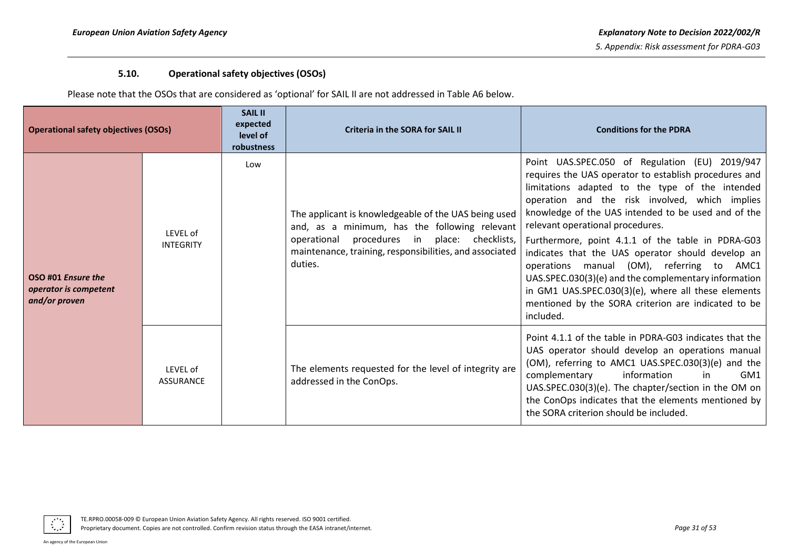# **5.10. Operational safety objectives (OSOs)**

Please note that the OSOs that are considered as 'optional' for SAIL II are not addressed in Table A6 below.

<span id="page-30-0"></span>

| Operational safety objectives (OSOs)                         |                              | <b>SAIL II</b><br>expected<br>level of<br>robustness | <b>Criteria in the SORA for SAIL II</b>                                                                                                                                                                                     | <b>Conditions for the PDRA</b>                                                                                                                                                                                                                                                                                                                                                                                                                                                                                                                                                                                                                    |
|--------------------------------------------------------------|------------------------------|------------------------------------------------------|-----------------------------------------------------------------------------------------------------------------------------------------------------------------------------------------------------------------------------|---------------------------------------------------------------------------------------------------------------------------------------------------------------------------------------------------------------------------------------------------------------------------------------------------------------------------------------------------------------------------------------------------------------------------------------------------------------------------------------------------------------------------------------------------------------------------------------------------------------------------------------------------|
| OSO #01 Ensure the<br>operator is competent<br>and/or proven | LEVEL of<br><b>INTEGRITY</b> | Low                                                  | The applicant is knowledgeable of the UAS being used<br>and, as a minimum, has the following relevant<br>operational procedures in place: checklists,<br>maintenance, training, responsibilities, and associated<br>duties. | Point UAS.SPEC.050 of Regulation (EU) 2019/947<br>requires the UAS operator to establish procedures and<br>limitations adapted to the type of the intended<br>operation and the risk involved, which implies<br>knowledge of the UAS intended to be used and of the<br>relevant operational procedures.<br>Furthermore, point 4.1.1 of the table in PDRA-G03<br>indicates that the UAS operator should develop an<br>operations manual (OM), referring to AMC1<br>UAS.SPEC.030(3)(e) and the complementary information<br>in GM1 UAS.SPEC.030(3)(e), where all these elements<br>mentioned by the SORA criterion are indicated to be<br>included. |
|                                                              | LEVEL of<br><b>ASSURANCE</b> |                                                      | The elements requested for the level of integrity are<br>addressed in the ConOps.                                                                                                                                           | Point 4.1.1 of the table in PDRA-G03 indicates that the<br>UAS operator should develop an operations manual<br>(OM), referring to AMC1 UAS.SPEC.030(3)(e) and the<br>complementary<br>information<br>GM <sub>1</sub><br>in<br>UAS.SPEC.030(3)(e). The chapter/section in the OM on<br>the ConOps indicates that the elements mentioned by<br>the SORA criterion should be included.                                                                                                                                                                                                                                                               |

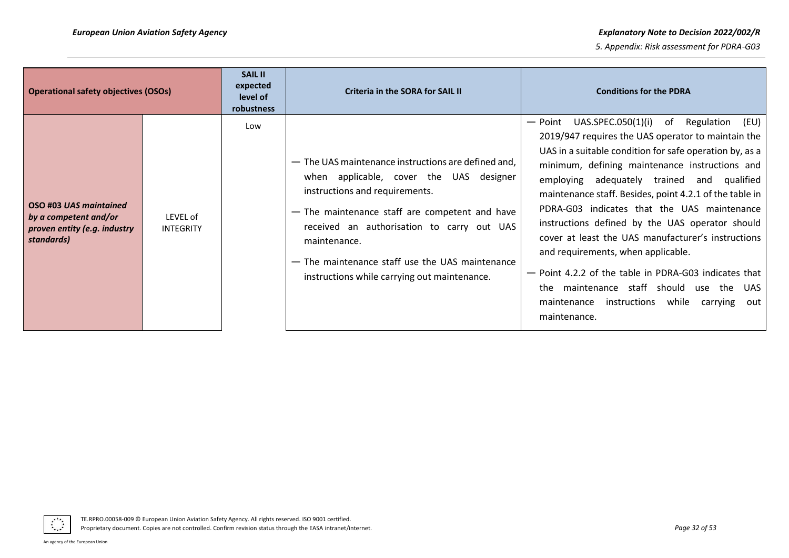| <b>Operational safety objectives (OSOs)</b>                                                   |                       | <b>SAIL II</b><br>expected<br>level of<br>robustness | <b>Criteria in the SORA for SAIL II</b>                                                                                                                                                                                                                                                                                                             | <b>Conditions for the PDRA</b>                                                                                                                                                                                                                                                                                                                                                                                                                                                                                                                                                                                                                                                                                       |
|-----------------------------------------------------------------------------------------------|-----------------------|------------------------------------------------------|-----------------------------------------------------------------------------------------------------------------------------------------------------------------------------------------------------------------------------------------------------------------------------------------------------------------------------------------------------|----------------------------------------------------------------------------------------------------------------------------------------------------------------------------------------------------------------------------------------------------------------------------------------------------------------------------------------------------------------------------------------------------------------------------------------------------------------------------------------------------------------------------------------------------------------------------------------------------------------------------------------------------------------------------------------------------------------------|
| OSO #03 UAS maintained<br>by a competent and/or<br>proven entity (e.g. industry<br>standards) | LEVEL of<br>INTEGRITY | Low                                                  | - The UAS maintenance instructions are defined and,<br>when applicable, cover the UAS designer<br>instructions and requirements.<br>- The maintenance staff are competent and have<br>received an authorisation to carry out UAS<br>maintenance.<br>- The maintenance staff use the UAS maintenance<br>instructions while carrying out maintenance. | UAS.SPEC.050(1)(i) of Regulation<br>(EU)<br>— Point<br>2019/947 requires the UAS operator to maintain the<br>UAS in a suitable condition for safe operation by, as a<br>minimum, defining maintenance instructions and<br>adequately trained and qualified<br>employing<br>maintenance staff. Besides, point 4.2.1 of the table in<br>PDRA-G03 indicates that the UAS maintenance<br>instructions defined by the UAS operator should<br>cover at least the UAS manufacturer's instructions<br>and requirements, when applicable.<br>- Point 4.2.2 of the table in PDRA-G03 indicates that<br>the maintenance staff should use the<br>UAS.<br>instructions<br>while<br>maintenance<br>carrying<br>out<br>maintenance. |

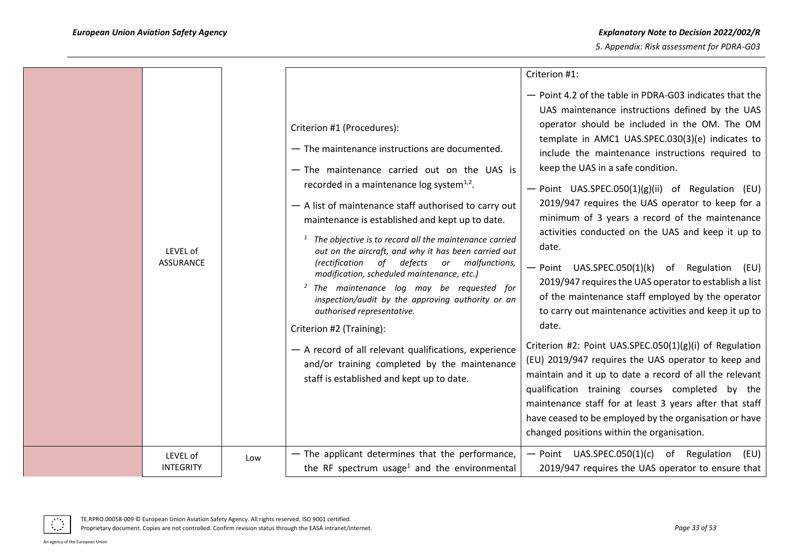| LEVEL of<br>ASSURANCE        |     | Criterion #1 (Procedures):<br>- The maintenance instructions are documented.<br>- The maintenance carried out on the UAS is<br>recorded in a maintenance log system $1,2$ .<br>- A list of maintenance staff authorised to carry out<br>maintenance is established and kept up to date.<br>$1$ The objective is to record all the maintenance carried<br>out on the aircraft, and why it has been carried out<br><i>(rectification</i><br>of defects or malfunctions,<br>modification, scheduled maintenance, etc.)<br><sup>2</sup> The maintenance log may be requested for<br>inspection/audit by the approving authority or an<br>authorised representative.<br>Criterion #2 (Training):<br>- A record of all relevant qualifications, experience<br>and/or training completed by the maintenance<br>staff is established and kept up to date. | Criterion #1:<br>- Point 4.2 of the table in PDRA-G03 indicates that the<br>UAS maintenance instructions defined by the UAS<br>operator should be included in the OM. The OM<br>template in AMC1 UAS.SPEC.030(3)(e) indicates to<br>include the maintenance instructions required to<br>keep the UAS in a safe condition.<br>- Point UAS.SPEC.050(1)(g)(ii) of Regulation (EU)<br>2019/947 requires the UAS operator to keep for a<br>minimum of 3 years a record of the maintenance<br>activities conducted on the UAS and keep it up to<br>date.<br>- Point UAS.SPEC.050(1)(k) of Regulation<br>(EU)<br>2019/947 requires the UAS operator to establish a list<br>of the maintenance staff employed by the operator<br>to carry out maintenance activities and keep it up to<br>date.<br>Criterion #2: Point UAS.SPEC.050(1)(g)(i) of Regulation<br>(EU) 2019/947 requires the UAS operator to keep and<br>maintain and it up to date a record of all the relevant<br>qualification training courses completed by the<br>maintenance staff for at least 3 years after that staff<br>have ceased to be employed by the organisation or have<br>changed positions within the organisation. |
|------------------------------|-----|---------------------------------------------------------------------------------------------------------------------------------------------------------------------------------------------------------------------------------------------------------------------------------------------------------------------------------------------------------------------------------------------------------------------------------------------------------------------------------------------------------------------------------------------------------------------------------------------------------------------------------------------------------------------------------------------------------------------------------------------------------------------------------------------------------------------------------------------------|--------------------------------------------------------------------------------------------------------------------------------------------------------------------------------------------------------------------------------------------------------------------------------------------------------------------------------------------------------------------------------------------------------------------------------------------------------------------------------------------------------------------------------------------------------------------------------------------------------------------------------------------------------------------------------------------------------------------------------------------------------------------------------------------------------------------------------------------------------------------------------------------------------------------------------------------------------------------------------------------------------------------------------------------------------------------------------------------------------------------------------------------------------------------------------------------|
| LEVEL of<br><b>INTEGRITY</b> | Low | - The applicant determines that the performance,<br>the RF spectrum usage <sup>1</sup> and the environmental                                                                                                                                                                                                                                                                                                                                                                                                                                                                                                                                                                                                                                                                                                                                      | $-$ Point UAS.SPEC.050(1)(c) of Regulation<br>(EU)<br>2019/947 requires the UAS operator to ensure that                                                                                                                                                                                                                                                                                                                                                                                                                                                                                                                                                                                                                                                                                                                                                                                                                                                                                                                                                                                                                                                                                    |



Proprietary document. Copies are not controlled. Confirm revision status through the EASA intranet/internet. **Page 33** of 53 *Page 33 of 53*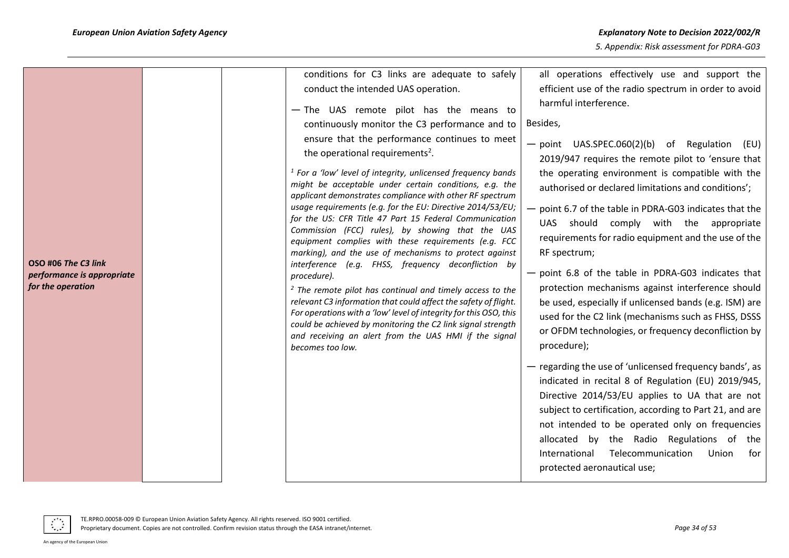| OSO #06 The C3 link<br>performance is appropriate<br>for the operation | conditions for C3 links are adequate to safely<br>conduct the intended UAS operation.<br>- The UAS remote pilot has the means to<br>continuously monitor the C3 performance and to<br>ensure that the performance continues to meet<br>the operational requirements <sup>2</sup> .<br>$1$ For a 'low' level of integrity, unlicensed frequency bands<br>might be acceptable under certain conditions, e.g. the<br>applicant demonstrates compliance with other RF spectrum<br>usage requirements (e.g. for the EU: Directive 2014/53/EU;<br>for the US: CFR Title 47 Part 15 Federal Communication<br>Commission (FCC) rules), by showing that the UAS<br>equipment complies with these requirements (e.g. FCC<br>marking), and the use of mechanisms to protect against<br>interference (e.g. FHSS, frequency deconfliction by<br>procedure).<br><sup>2</sup> The remote pilot has continual and timely access to the<br>relevant C3 information that could affect the safety of flight.<br>For operations with a 'low' level of integrity for this OSO, this<br>could be achieved by monitoring the C2 link signal strength<br>and receiving an alert from the UAS HMI if the signal<br>becomes too low. | all operations effectively use and support the<br>efficient use of the radio spectrum in order to avoid<br>harmful interference.<br>Besides,<br>$-$ point UAS.SPEC.060(2)(b) of Regulation (EU)<br>2019/947 requires the remote pilot to 'ensure that<br>the operating environment is compatible with the<br>authorised or declared limitations and conditions';<br>- point 6.7 of the table in PDRA-G03 indicates that the<br>UAS should comply with the appropriate<br>requirements for radio equipment and the use of the<br>RF spectrum;<br>- point 6.8 of the table in PDRA-G03 indicates that<br>protection mechanisms against interference should<br>be used, especially if unlicensed bands (e.g. ISM) are<br>used for the C2 link (mechanisms such as FHSS, DSSS<br>or OFDM technologies, or frequency deconfliction by<br>procedure);<br>- regarding the use of 'unlicensed frequency bands', as<br>indicated in recital 8 of Regulation (EU) 2019/945,<br>Directive 2014/53/EU applies to UA that are not<br>subject to certification, according to Part 21, and are<br>not intended to be operated only on frequencies<br>allocated by the Radio Regulations of the<br>International<br>Telecommunication<br>Union<br>for<br>protected aeronautical use; |
|------------------------------------------------------------------------|------------------------------------------------------------------------------------------------------------------------------------------------------------------------------------------------------------------------------------------------------------------------------------------------------------------------------------------------------------------------------------------------------------------------------------------------------------------------------------------------------------------------------------------------------------------------------------------------------------------------------------------------------------------------------------------------------------------------------------------------------------------------------------------------------------------------------------------------------------------------------------------------------------------------------------------------------------------------------------------------------------------------------------------------------------------------------------------------------------------------------------------------------------------------------------------------------------|----------------------------------------------------------------------------------------------------------------------------------------------------------------------------------------------------------------------------------------------------------------------------------------------------------------------------------------------------------------------------------------------------------------------------------------------------------------------------------------------------------------------------------------------------------------------------------------------------------------------------------------------------------------------------------------------------------------------------------------------------------------------------------------------------------------------------------------------------------------------------------------------------------------------------------------------------------------------------------------------------------------------------------------------------------------------------------------------------------------------------------------------------------------------------------------------------------------------------------------------------------------------|
|                                                                        |                                                                                                                                                                                                                                                                                                                                                                                                                                                                                                                                                                                                                                                                                                                                                                                                                                                                                                                                                                                                                                                                                                                                                                                                            |                                                                                                                                                                                                                                                                                                                                                                                                                                                                                                                                                                                                                                                                                                                                                                                                                                                                                                                                                                                                                                                                                                                                                                                                                                                                      |

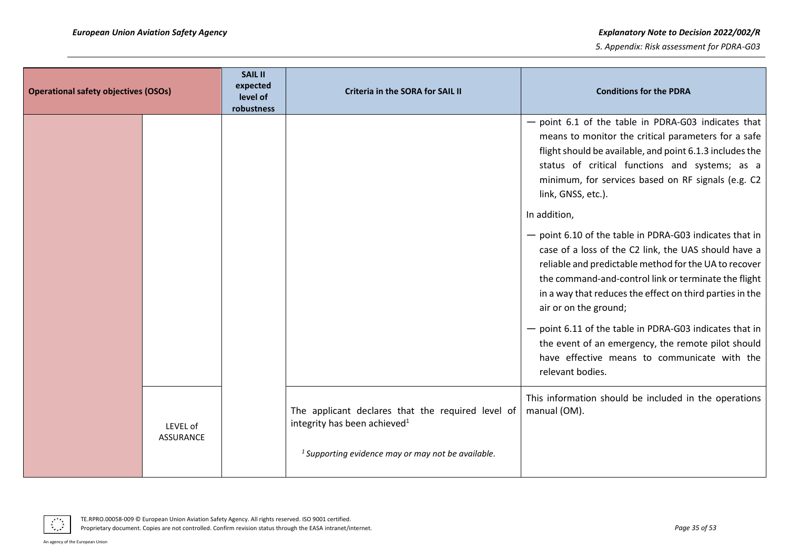| <b>Operational safety objectives (OSOs)</b> | <b>SAIL II</b><br>expected<br>level of<br>robustness | <b>Criteria in the SORA for SAIL II</b>                                                                                                               | <b>Conditions for the PDRA</b>                                                                                                                                                                                                                                                                                                                                                                                                                                                                                                                                                                                                                                                                                                                                                                                                       |
|---------------------------------------------|------------------------------------------------------|-------------------------------------------------------------------------------------------------------------------------------------------------------|--------------------------------------------------------------------------------------------------------------------------------------------------------------------------------------------------------------------------------------------------------------------------------------------------------------------------------------------------------------------------------------------------------------------------------------------------------------------------------------------------------------------------------------------------------------------------------------------------------------------------------------------------------------------------------------------------------------------------------------------------------------------------------------------------------------------------------------|
|                                             |                                                      |                                                                                                                                                       | $-$ point 6.1 of the table in PDRA-G03 indicates that<br>means to monitor the critical parameters for a safe<br>flight should be available, and point 6.1.3 includes the<br>status of critical functions and systems; as a<br>minimum, for services based on RF signals (e.g. C2<br>link, GNSS, etc.).<br>In addition,<br>- point 6.10 of the table in PDRA-G03 indicates that in<br>case of a loss of the C2 link, the UAS should have a<br>reliable and predictable method for the UA to recover<br>the command-and-control link or terminate the flight<br>in a way that reduces the effect on third parties in the<br>air or on the ground;<br>- point 6.11 of the table in PDRA-G03 indicates that in<br>the event of an emergency, the remote pilot should<br>have effective means to communicate with the<br>relevant bodies. |
| LEVEL of<br><b>ASSURANCE</b>                |                                                      | The applicant declares that the required level of<br>integrity has been achieved <sup>1</sup><br>$1$ Supporting evidence may or may not be available. | This information should be included in the operations<br>manual (OM).                                                                                                                                                                                                                                                                                                                                                                                                                                                                                                                                                                                                                                                                                                                                                                |

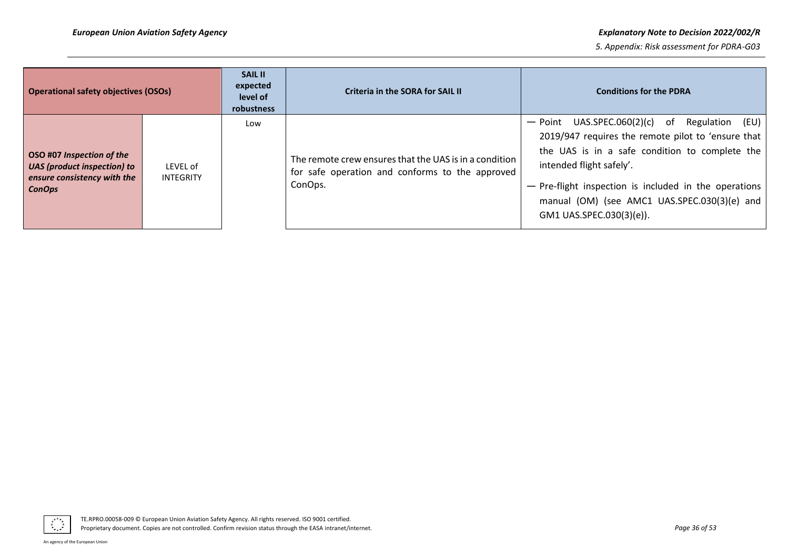#### *European Union Aviation Safety Agency Explanatory Note to Decision 2022/002/R*

| <b>Operational safety objectives (OSOs)</b>                                                                     |                       | <b>SAIL II</b><br>expected<br>level of<br>robustness | Criteria in the SORA for SAIL II                                                                                     | <b>Conditions for the PDRA</b>                                                                                                                                                                                                                                                                                              |
|-----------------------------------------------------------------------------------------------------------------|-----------------------|------------------------------------------------------|----------------------------------------------------------------------------------------------------------------------|-----------------------------------------------------------------------------------------------------------------------------------------------------------------------------------------------------------------------------------------------------------------------------------------------------------------------------|
| OSO #07 Inspection of the<br><b>UAS</b> (product inspection) to<br>ensure consistency with the<br><b>ConOps</b> | LEVEL of<br>INTEGRITY | Low                                                  | The remote crew ensures that the UAS is in a condition<br>for safe operation and conforms to the approved<br>ConOps. | $-$ Point UAS.SPEC.060(2)(c) of<br>Regulation (EU)<br>2019/947 requires the remote pilot to 'ensure that<br>the UAS is in a safe condition to complete the<br>intended flight safely'.<br>- Pre-flight inspection is included in the operations<br>manual (OM) (see AMC1 UAS.SPEC.030(3)(e) and<br>GM1 UAS.SPEC.030(3)(e)). |

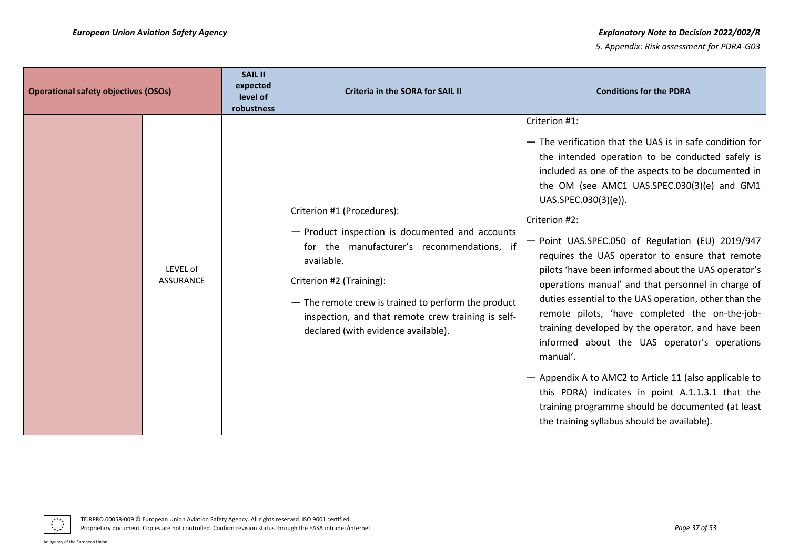| <b>Operational safety objectives (OSOs)</b> |                              | <b>SAIL II</b><br>expected<br>level of<br>robustness | <b>Criteria in the SORA for SAIL II</b>                                                                                                                                                                                                                                                                                   | <b>Conditions for the PDRA</b>                                                                                                                                                                                                                                                                                                                                                                                                                                                                                                                                                                                                                                                                                                                                                                                                                                                                                                                |
|---------------------------------------------|------------------------------|------------------------------------------------------|---------------------------------------------------------------------------------------------------------------------------------------------------------------------------------------------------------------------------------------------------------------------------------------------------------------------------|-----------------------------------------------------------------------------------------------------------------------------------------------------------------------------------------------------------------------------------------------------------------------------------------------------------------------------------------------------------------------------------------------------------------------------------------------------------------------------------------------------------------------------------------------------------------------------------------------------------------------------------------------------------------------------------------------------------------------------------------------------------------------------------------------------------------------------------------------------------------------------------------------------------------------------------------------|
|                                             | LEVEL of<br><b>ASSURANCE</b> |                                                      | Criterion #1 (Procedures):<br>- Product inspection is documented and accounts<br>for the manufacturer's recommendations, if<br>available.<br>Criterion #2 (Training):<br>- The remote crew is trained to perform the product<br>inspection, and that remote crew training is self-<br>declared (with evidence available). | Criterion #1:<br>- The verification that the UAS is in safe condition for<br>the intended operation to be conducted safely is<br>included as one of the aspects to be documented in<br>the OM (see AMC1 UAS.SPEC.030(3)(e) and GM1<br>UAS.SPEC.030(3)(e)).<br>Criterion #2:<br>- Point UAS.SPEC.050 of Regulation (EU) 2019/947<br>requires the UAS operator to ensure that remote<br>pilots 'have been informed about the UAS operator's<br>operations manual' and that personnel in charge of<br>duties essential to the UAS operation, other than the<br>remote pilots, 'have completed the on-the-job-<br>training developed by the operator, and have been<br>informed about the UAS operator's operations<br>manual'.<br>- Appendix A to AMC2 to Article 11 (also applicable to<br>this PDRA) indicates in point A.1.1.3.1 that the<br>training programme should be documented (at least<br>the training syllabus should be available). |

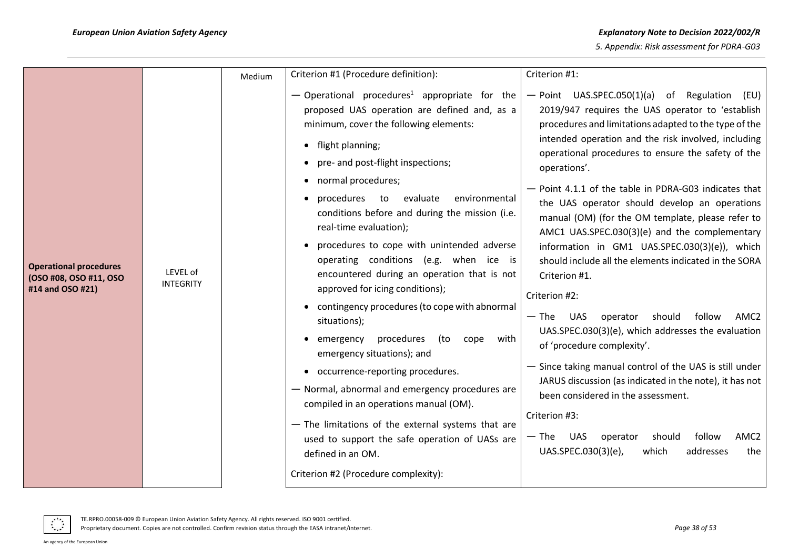|                                                                             |                              | Medium | Criterion #1 (Procedure definition):                                                                                                                                                                                                                                                                                                                                                                                                                                                                                                                                                                                                                                                                                                                                                                                                                                                                                                                                                                        | Criterion #1:                                                                                                                                                                                                                                                                                                                                                                                                                                                                                                                                                                                                                                                                                                                                                                                                                                                                                                                                                                                                                                                                                                            |
|-----------------------------------------------------------------------------|------------------------------|--------|-------------------------------------------------------------------------------------------------------------------------------------------------------------------------------------------------------------------------------------------------------------------------------------------------------------------------------------------------------------------------------------------------------------------------------------------------------------------------------------------------------------------------------------------------------------------------------------------------------------------------------------------------------------------------------------------------------------------------------------------------------------------------------------------------------------------------------------------------------------------------------------------------------------------------------------------------------------------------------------------------------------|--------------------------------------------------------------------------------------------------------------------------------------------------------------------------------------------------------------------------------------------------------------------------------------------------------------------------------------------------------------------------------------------------------------------------------------------------------------------------------------------------------------------------------------------------------------------------------------------------------------------------------------------------------------------------------------------------------------------------------------------------------------------------------------------------------------------------------------------------------------------------------------------------------------------------------------------------------------------------------------------------------------------------------------------------------------------------------------------------------------------------|
| <b>Operational procedures</b><br>(OSO #08, OSO #11, OSO<br>#14 and OSO #21) | LEVEL of<br><b>INTEGRITY</b> |        | $-$ Operational procedures <sup>1</sup> appropriate for the<br>proposed UAS operation are defined and, as a<br>minimum, cover the following elements:<br>• flight planning;<br>• pre- and post-flight inspections;<br>• normal procedures;<br>procedures to<br>evaluate<br>environmental<br>conditions before and during the mission (i.e.<br>real-time evaluation);<br>• procedures to cope with unintended adverse<br>operating conditions (e.g. when ice is<br>encountered during an operation that is not<br>approved for icing conditions);<br>• contingency procedures (to cope with abnormal<br>situations);<br>procedures<br>with<br>(to<br>cope<br>emergency<br>emergency situations); and<br>• occurrence-reporting procedures.<br>- Normal, abnormal and emergency procedures are<br>compiled in an operations manual (OM).<br>- The limitations of the external systems that are<br>used to support the safe operation of UASs are<br>defined in an OM.<br>Criterion #2 (Procedure complexity): | $-$ Point UAS.SPEC.050(1)(a) of Regulation (EU)<br>2019/947 requires the UAS operator to 'establish<br>procedures and limitations adapted to the type of the<br>intended operation and the risk involved, including<br>operational procedures to ensure the safety of the<br>operations'.<br>- Point 4.1.1 of the table in PDRA-G03 indicates that<br>the UAS operator should develop an operations<br>manual (OM) (for the OM template, please refer to<br>AMC1 UAS.SPEC.030(3)(e) and the complementary<br>information in GM1 UAS.SPEC.030(3)(e)), which<br>should include all the elements indicated in the SORA<br>Criterion #1.<br>Criterion #2:<br>should<br>follow<br>AMC <sub>2</sub><br>$-$ The<br><b>UAS</b><br>operator<br>UAS.SPEC.030(3)(e), which addresses the evaluation<br>of 'procedure complexity'.<br>- Since taking manual control of the UAS is still under<br>JARUS discussion (as indicated in the note), it has not<br>been considered in the assessment.<br>Criterion #3:<br>— The UAS<br>should<br>follow<br>AMC <sub>2</sub><br>operator<br>UAS.SPEC.030(3)(e),<br>addresses<br>which<br>the |



TE.RPRO.00058-009 © European Union Aviation Safety Agency. All rights reserved. ISO 9001 certified.

Proprietary document. Copies are not controlled. Confirm revision status through the EASA intranet/internet. *Page 38 of 53*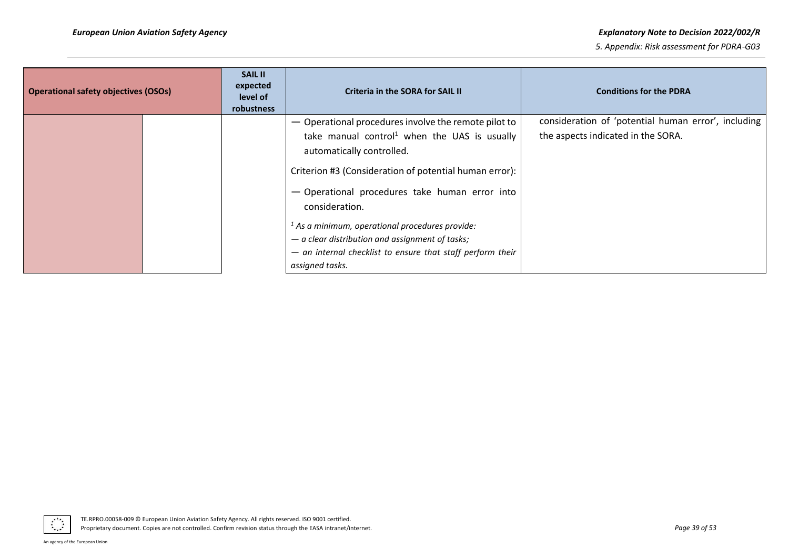| <b>Operational safety objectives (OSOs)</b> | <b>SAIL II</b><br>expected<br>level of<br>robustness | Criteria in the SORA for SAIL II                                                                                                   | <b>Conditions for the PDRA</b>                                                            |
|---------------------------------------------|------------------------------------------------------|------------------------------------------------------------------------------------------------------------------------------------|-------------------------------------------------------------------------------------------|
|                                             |                                                      | - Operational procedures involve the remote pilot to<br>take manual control <sup>1</sup> when the UAS is usually                   | consideration of 'potential human error', including<br>the aspects indicated in the SORA. |
|                                             |                                                      | automatically controlled.<br>Criterion #3 (Consideration of potential human error):                                                |                                                                                           |
|                                             |                                                      | - Operational procedures take human error into<br>consideration.                                                                   |                                                                                           |
|                                             |                                                      | $1$ As a minimum, operational procedures provide:                                                                                  |                                                                                           |
|                                             |                                                      | $-$ a clear distribution and assignment of tasks;<br>- an internal checklist to ensure that staff perform their<br>assigned tasks. |                                                                                           |

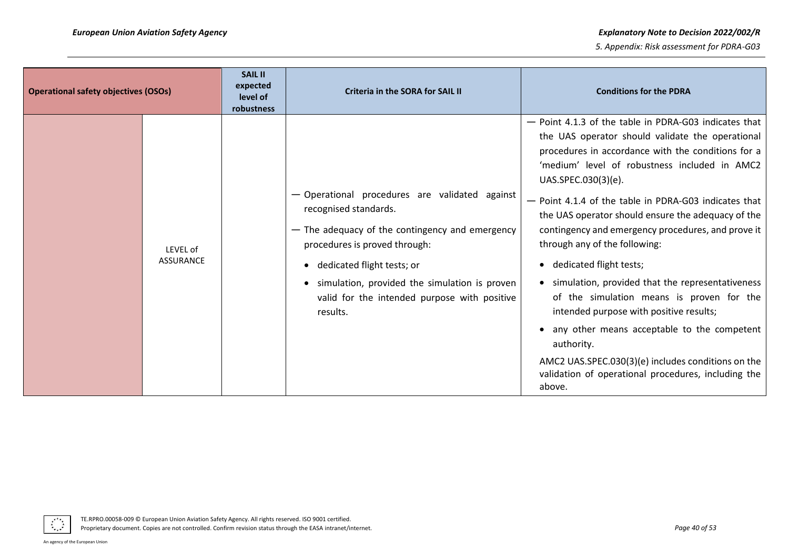| <b>Operational safety objectives (OSOs)</b> |                              | <b>SAIL II</b><br>expected<br>level of<br>robustness | <b>Criteria in the SORA for SAIL II</b>                                                                                                                                                                                                                                                                  | <b>Conditions for the PDRA</b>                                                                                                                                                                                                                                                                                                                                                                                                                                                                                                                                                                                                                                                                                                                                                                                 |
|---------------------------------------------|------------------------------|------------------------------------------------------|----------------------------------------------------------------------------------------------------------------------------------------------------------------------------------------------------------------------------------------------------------------------------------------------------------|----------------------------------------------------------------------------------------------------------------------------------------------------------------------------------------------------------------------------------------------------------------------------------------------------------------------------------------------------------------------------------------------------------------------------------------------------------------------------------------------------------------------------------------------------------------------------------------------------------------------------------------------------------------------------------------------------------------------------------------------------------------------------------------------------------------|
|                                             | LEVEL of<br><b>ASSURANCE</b> |                                                      | - Operational procedures are validated against<br>recognised standards.<br>- The adequacy of the contingency and emergency<br>procedures is proved through:<br>• dedicated flight tests; or<br>simulation, provided the simulation is proven<br>valid for the intended purpose with positive<br>results. | - Point 4.1.3 of the table in PDRA-G03 indicates that<br>the UAS operator should validate the operational<br>procedures in accordance with the conditions for a<br>'medium' level of robustness included in AMC2<br>UAS.SPEC.030(3)(e).<br>- Point 4.1.4 of the table in PDRA-G03 indicates that<br>the UAS operator should ensure the adequacy of the<br>contingency and emergency procedures, and prove it<br>through any of the following:<br>• dedicated flight tests;<br>• simulation, provided that the representativeness<br>of the simulation means is proven for the<br>intended purpose with positive results;<br>• any other means acceptable to the competent<br>authority.<br>AMC2 UAS.SPEC.030(3)(e) includes conditions on the<br>validation of operational procedures, including the<br>above. |

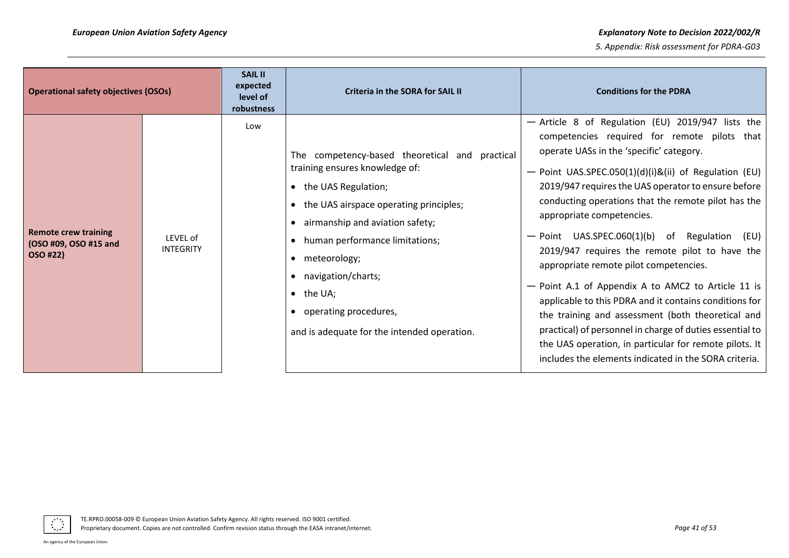| <b>Operational safety objectives (OSOs)</b>                      |                              | <b>SAIL II</b><br>expected<br>level of<br>robustness | <b>Criteria in the SORA for SAIL II</b>                                                                                                                                                                                                                                                                                                                           | <b>Conditions for the PDRA</b>                                                                                                                                                                                                                                                                                                                                                                                                                                                                                                                                                                                                                                                                                                                                                                                                                        |
|------------------------------------------------------------------|------------------------------|------------------------------------------------------|-------------------------------------------------------------------------------------------------------------------------------------------------------------------------------------------------------------------------------------------------------------------------------------------------------------------------------------------------------------------|-------------------------------------------------------------------------------------------------------------------------------------------------------------------------------------------------------------------------------------------------------------------------------------------------------------------------------------------------------------------------------------------------------------------------------------------------------------------------------------------------------------------------------------------------------------------------------------------------------------------------------------------------------------------------------------------------------------------------------------------------------------------------------------------------------------------------------------------------------|
| <b>Remote crew training</b><br>(OSO #09, OSO #15 and<br>OSO #22) | LEVEL of<br><b>INTEGRITY</b> | Low                                                  | The competency-based theoretical and practical<br>training ensures knowledge of:<br>• the UAS Regulation;<br>• the UAS airspace operating principles;<br>• airmanship and aviation safety;<br>human performance limitations;<br>meteorology;<br>• navigation/charts;<br>$\bullet$ the UA;<br>operating procedures,<br>and is adequate for the intended operation. | - Article 8 of Regulation (EU) 2019/947 lists the<br>competencies required for remote pilots that<br>operate UASs in the 'specific' category.<br>- Point UAS.SPEC.050(1)(d)(i)&(ii) of Regulation (EU)<br>2019/947 requires the UAS operator to ensure before<br>conducting operations that the remote pilot has the<br>appropriate competencies.<br>- Point UAS.SPEC.060(1)(b) of Regulation<br>(EU)<br>2019/947 requires the remote pilot to have the<br>appropriate remote pilot competencies.<br>- Point A.1 of Appendix A to AMC2 to Article 11 is<br>applicable to this PDRA and it contains conditions for<br>the training and assessment (both theoretical and<br>practical) of personnel in charge of duties essential to<br>the UAS operation, in particular for remote pilots. It<br>includes the elements indicated in the SORA criteria. |

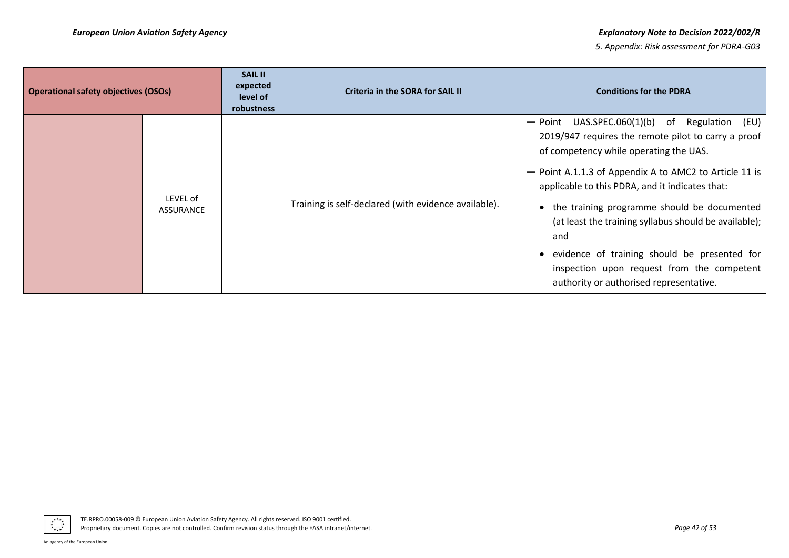#### *European Union Aviation Safety Agency Explanatory Note to Decision 2022/002/R*

| <b>Operational safety objectives (OSOs)</b> |                       | <b>SAIL II</b><br>expected<br>level of<br>robustness | Criteria in the SORA for SAIL II                     | <b>Conditions for the PDRA</b>                                                                                                                                                                                                                                                                                                                                                                                                                                                                                                  |
|---------------------------------------------|-----------------------|------------------------------------------------------|------------------------------------------------------|---------------------------------------------------------------------------------------------------------------------------------------------------------------------------------------------------------------------------------------------------------------------------------------------------------------------------------------------------------------------------------------------------------------------------------------------------------------------------------------------------------------------------------|
|                                             | LEVEL of<br>ASSURANCE |                                                      | Training is self-declared (with evidence available). | $-$ Point UAS.SPEC.060(1)(b) of<br>Regulation<br>(EU)<br>2019/947 requires the remote pilot to carry a proof<br>of competency while operating the UAS.<br>- Point A.1.1.3 of Appendix A to AMC2 to Article 11 is<br>applicable to this PDRA, and it indicates that:<br>• the training programme should be documented<br>(at least the training syllabus should be available);<br>and<br>• evidence of training should be presented for<br>inspection upon request from the competent<br>authority or authorised representative. |

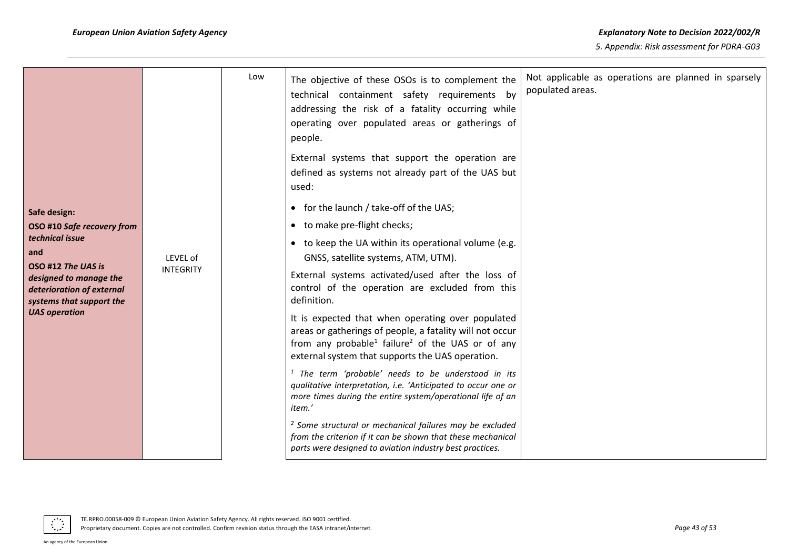|                                                                                                                                                   |                             | Low                                                                                                                                                                                                                                           | The objective of these OSOs is to complement the<br>technical containment safety requirements by<br>addressing the risk of a fatality occurring while<br>operating over populated areas or gatherings of<br>people. | Not applicable as operations are planned in sparsely<br>populated areas. |
|---------------------------------------------------------------------------------------------------------------------------------------------------|-----------------------------|-----------------------------------------------------------------------------------------------------------------------------------------------------------------------------------------------------------------------------------------------|---------------------------------------------------------------------------------------------------------------------------------------------------------------------------------------------------------------------|--------------------------------------------------------------------------|
|                                                                                                                                                   |                             |                                                                                                                                                                                                                                               | External systems that support the operation are<br>defined as systems not already part of the UAS but<br>used:                                                                                                      |                                                                          |
| Safe design:                                                                                                                                      |                             |                                                                                                                                                                                                                                               | • for the launch / take-off of the UAS;                                                                                                                                                                             |                                                                          |
| OSO #10 Safe recovery from                                                                                                                        |                             |                                                                                                                                                                                                                                               | • to make pre-flight checks;                                                                                                                                                                                        |                                                                          |
| and                                                                                                                                               | technical issue<br>LEVEL of |                                                                                                                                                                                                                                               | • to keep the UA within its operational volume (e.g.<br>GNSS, satellite systems, ATM, UTM).                                                                                                                         |                                                                          |
| OSO #12 The UAS is<br><b>INTEGRITY</b><br>designed to manage the<br>deterioration of external<br>systems that support the<br><b>UAS operation</b> |                             | External systems activated/used after the loss of<br>control of the operation are excluded from this<br>definition.                                                                                                                           |                                                                                                                                                                                                                     |                                                                          |
|                                                                                                                                                   |                             | It is expected that when operating over populated<br>areas or gatherings of people, a fatality will not occur<br>from any probable <sup>1</sup> failure <sup>2</sup> of the UAS or of any<br>external system that supports the UAS operation. |                                                                                                                                                                                                                     |                                                                          |
|                                                                                                                                                   |                             |                                                                                                                                                                                                                                               | <sup>1</sup> The term 'probable' needs to be understood in its<br>qualitative interpretation, i.e. 'Anticipated to occur one or<br>more times during the entire system/operational life of an<br>item.'             |                                                                          |
|                                                                                                                                                   |                             |                                                                                                                                                                                                                                               | <sup>2</sup> Some structural or mechanical failures may be excluded<br>from the criterion if it can be shown that these mechanical<br>parts were designed to aviation industry best practices.                      |                                                                          |

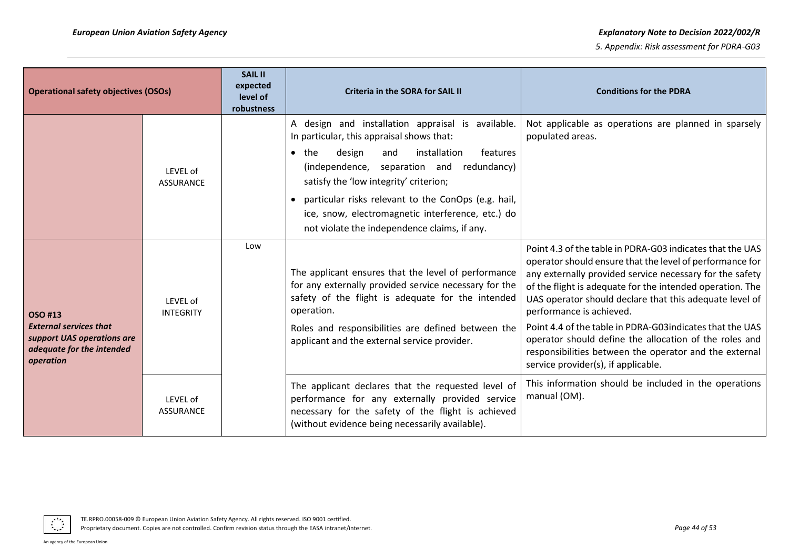| <b>Operational safety objectives (OSOs)</b>                                                                      |                              | <b>SAIL II</b><br>expected<br>level of<br>robustness | Criteria in the SORA for SAIL II                                                                                                                                                                                                                                                                                                                                                                                | <b>Conditions for the PDRA</b>                                                                                                                                                                                                                                                                                                                                                                                                                                                                                                                                |
|------------------------------------------------------------------------------------------------------------------|------------------------------|------------------------------------------------------|-----------------------------------------------------------------------------------------------------------------------------------------------------------------------------------------------------------------------------------------------------------------------------------------------------------------------------------------------------------------------------------------------------------------|---------------------------------------------------------------------------------------------------------------------------------------------------------------------------------------------------------------------------------------------------------------------------------------------------------------------------------------------------------------------------------------------------------------------------------------------------------------------------------------------------------------------------------------------------------------|
|                                                                                                                  | LEVEL of<br><b>ASSURANCE</b> |                                                      | A design and installation appraisal is available.<br>In particular, this appraisal shows that:<br>$\bullet$ the<br>installation<br>features<br>design<br>and<br>(independence, separation and redundancy)<br>satisfy the 'low integrity' criterion;<br>particular risks relevant to the ConOps (e.g. hail,<br>ice, snow, electromagnetic interference, etc.) do<br>not violate the independence claims, if any. | Not applicable as operations are planned in sparsely<br>populated areas.                                                                                                                                                                                                                                                                                                                                                                                                                                                                                      |
| OSO #13<br><b>External services that</b><br>support UAS operations are<br>adequate for the intended<br>operation | LEVEL of<br><b>INTEGRITY</b> | Low                                                  | The applicant ensures that the level of performance<br>for any externally provided service necessary for the<br>safety of the flight is adequate for the intended<br>operation.<br>Roles and responsibilities are defined between the<br>applicant and the external service provider.                                                                                                                           | Point 4.3 of the table in PDRA-G03 indicates that the UAS<br>operator should ensure that the level of performance for<br>any externally provided service necessary for the safety<br>of the flight is adequate for the intended operation. The<br>UAS operator should declare that this adequate level of<br>performance is achieved.<br>Point 4.4 of the table in PDRA-G03 indicates that the UAS<br>operator should define the allocation of the roles and<br>responsibilities between the operator and the external<br>service provider(s), if applicable. |
|                                                                                                                  | LEVEL of<br><b>ASSURANCE</b> |                                                      | The applicant declares that the requested level of<br>performance for any externally provided service<br>necessary for the safety of the flight is achieved<br>(without evidence being necessarily available).                                                                                                                                                                                                  | This information should be included in the operations<br>manual (OM).                                                                                                                                                                                                                                                                                                                                                                                                                                                                                         |

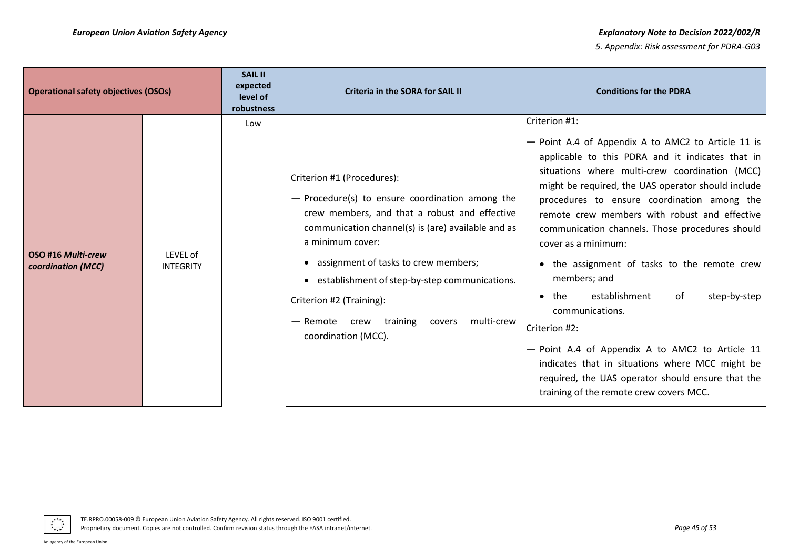#### *European Union Aviation Safety Agency Explanatory Note to Decision 2022/002/R*

| <b>Operational safety objectives (OSOs)</b> |                              | <b>SAIL II</b><br>expected<br>level of<br>robustness | Criteria in the SORA for SAIL II                                                                                                                                                                                                                                                                                                                                                                             | <b>Conditions for the PDRA</b>                                                                                                                                                                                                                                                                                                                                                                                                                                                                                                                                                                                                                                                                                                                                              |
|---------------------------------------------|------------------------------|------------------------------------------------------|--------------------------------------------------------------------------------------------------------------------------------------------------------------------------------------------------------------------------------------------------------------------------------------------------------------------------------------------------------------------------------------------------------------|-----------------------------------------------------------------------------------------------------------------------------------------------------------------------------------------------------------------------------------------------------------------------------------------------------------------------------------------------------------------------------------------------------------------------------------------------------------------------------------------------------------------------------------------------------------------------------------------------------------------------------------------------------------------------------------------------------------------------------------------------------------------------------|
| OSO #16 Multi-crew<br>coordination (MCC)    | LEVEL of<br><b>INTEGRITY</b> | Low                                                  | Criterion #1 (Procedures):<br>$-$ Procedure(s) to ensure coordination among the<br>crew members, and that a robust and effective<br>communication channel(s) is (are) available and as<br>a minimum cover:<br>• assignment of tasks to crew members;<br>• establishment of step-by-step communications.<br>Criterion #2 (Training):<br>- Remote crew training<br>multi-crew<br>covers<br>coordination (MCC). | Criterion #1:<br>- Point A.4 of Appendix A to AMC2 to Article 11 is<br>applicable to this PDRA and it indicates that in<br>situations where multi-crew coordination (MCC)<br>might be required, the UAS operator should include<br>procedures to ensure coordination among the<br>remote crew members with robust and effective<br>communication channels. Those procedures should<br>cover as a minimum:<br>• the assignment of tasks to the remote crew<br>members; and<br>establishment<br>step-by-step<br>$\bullet$ the<br>of<br>communications.<br>Criterion #2:<br>- Point A.4 of Appendix A to AMC2 to Article 11<br>indicates that in situations where MCC might be<br>required, the UAS operator should ensure that the<br>training of the remote crew covers MCC. |

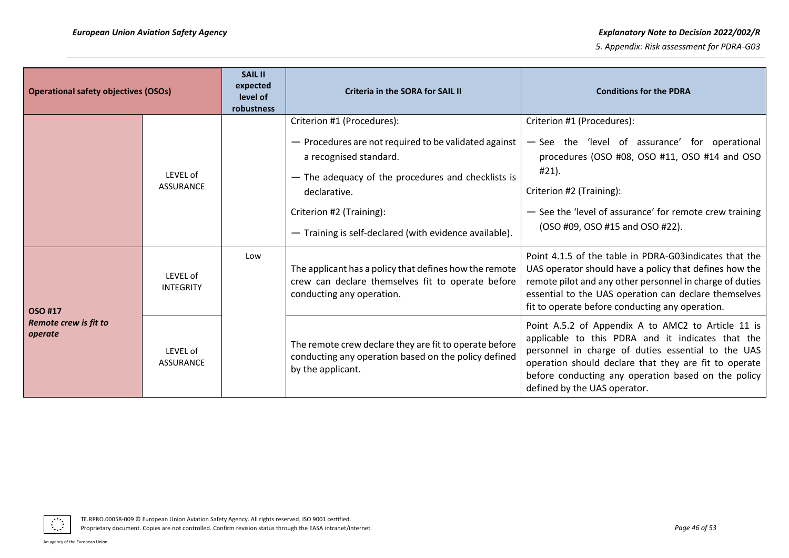| <b>Operational safety objectives (OSOs)</b> |                              | <b>SAIL II</b><br>expected<br>level of<br>robustness | <b>Criteria in the SORA for SAIL II</b>                                                                                                                                                                                                                                   | <b>Conditions for the PDRA</b>                                                                                                                                                                                                                                                                                |
|---------------------------------------------|------------------------------|------------------------------------------------------|---------------------------------------------------------------------------------------------------------------------------------------------------------------------------------------------------------------------------------------------------------------------------|---------------------------------------------------------------------------------------------------------------------------------------------------------------------------------------------------------------------------------------------------------------------------------------------------------------|
|                                             | LEVEL of<br><b>ASSURANCE</b> |                                                      | Criterion #1 (Procedures):<br>- Procedures are not required to be validated against<br>a recognised standard.<br>- The adequacy of the procedures and checklists is<br>declarative.<br>Criterion #2 (Training):<br>- Training is self-declared (with evidence available). | Criterion #1 (Procedures):<br>- See the 'level of assurance' for operational<br>procedures (OSO #08, OSO #11, OSO #14 and OSO<br>#21).<br>Criterion #2 (Training):<br>- See the 'level of assurance' for remote crew training<br>(OSO #09, OSO #15 and OSO #22).                                              |
| OSO #17                                     | LEVEL of<br><b>INTEGRITY</b> | Low                                                  | The applicant has a policy that defines how the remote<br>crew can declare themselves fit to operate before<br>conducting any operation.                                                                                                                                  | Point 4.1.5 of the table in PDRA-G03indicates that the<br>UAS operator should have a policy that defines how the<br>remote pilot and any other personnel in charge of duties<br>essential to the UAS operation can declare themselves<br>fit to operate before conducting any operation.                      |
| Remote crew is fit to<br>operate            | LEVEL of<br><b>ASSURANCE</b> |                                                      | The remote crew declare they are fit to operate before<br>conducting any operation based on the policy defined<br>by the applicant.                                                                                                                                       | Point A.5.2 of Appendix A to AMC2 to Article 11 is<br>applicable to this PDRA and it indicates that the<br>personnel in charge of duties essential to the UAS<br>operation should declare that they are fit to operate<br>before conducting any operation based on the policy<br>defined by the UAS operator. |

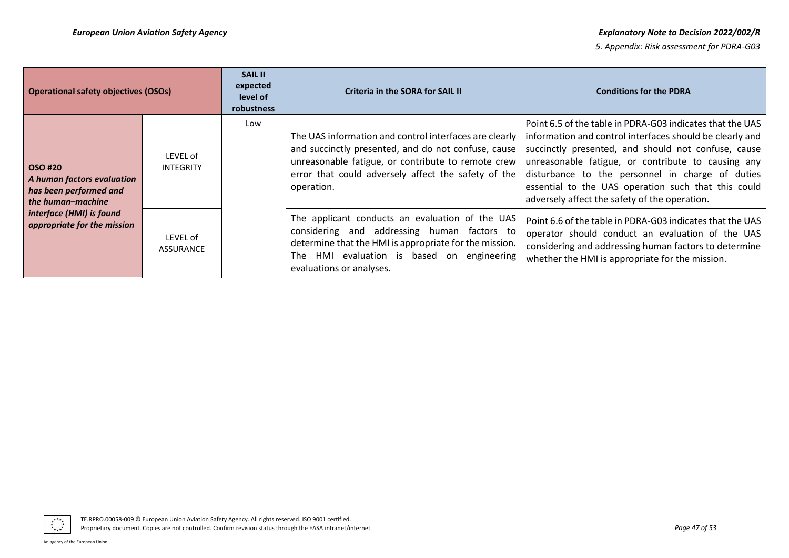| <b>Operational safety objectives (OSOs)</b>                                                 |                              | <b>SAIL II</b><br>expected<br>level of<br>robustness | Criteria in the SORA for SAIL II                                                                                                                                                                                                         | <b>Conditions for the PDRA</b>                                                                                                                                                                                                                                                                                                                                                                 |
|---------------------------------------------------------------------------------------------|------------------------------|------------------------------------------------------|------------------------------------------------------------------------------------------------------------------------------------------------------------------------------------------------------------------------------------------|------------------------------------------------------------------------------------------------------------------------------------------------------------------------------------------------------------------------------------------------------------------------------------------------------------------------------------------------------------------------------------------------|
| <b>OSO #20</b><br>A human factors evaluation<br>has been performed and<br>the human-machine | LEVEL of<br><b>INTEGRITY</b> | Low                                                  | The UAS information and control interfaces are clearly<br>and succinctly presented, and do not confuse, cause<br>unreasonable fatigue, or contribute to remote crew<br>error that could adversely affect the safety of the<br>operation. | Point 6.5 of the table in PDRA-G03 indicates that the UAS<br>information and control interfaces should be clearly and<br>succinctly presented, and should not confuse, cause<br>unreasonable fatigue, or contribute to causing any<br>disturbance to the personnel in charge of duties<br>essential to the UAS operation such that this could<br>adversely affect the safety of the operation. |
| interface (HMI) is found<br>appropriate for the mission                                     | LEVEL of<br><b>ASSURANCE</b> |                                                      | The applicant conducts an evaluation of the UAS<br>considering and addressing human factors to<br>determine that the HMI is appropriate for the mission.<br>HMI evaluation is based on engineering<br>The<br>evaluations or analyses.    | Point 6.6 of the table in PDRA-G03 indicates that the UAS<br>operator should conduct an evaluation of the UAS<br>considering and addressing human factors to determine<br>whether the HMI is appropriate for the mission.                                                                                                                                                                      |

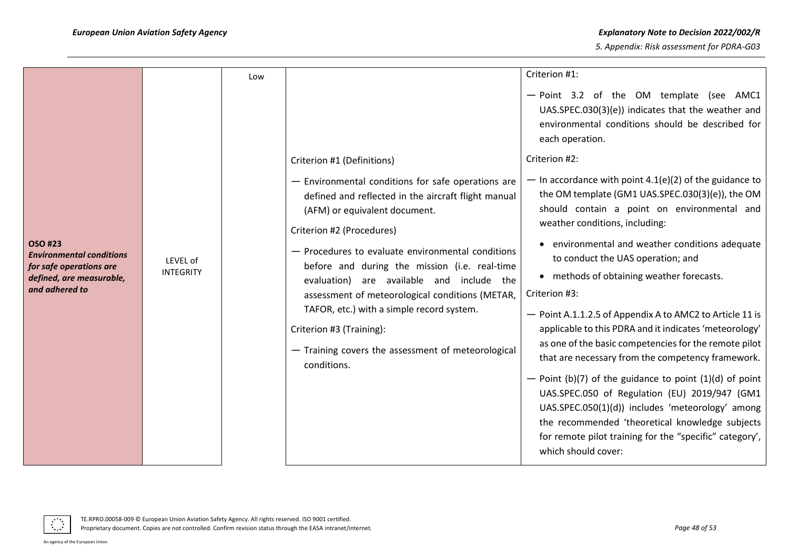|                                                                                                                     |                              | Low |                                                                                                                                                                                                                                                                                                                                                                                                                                                                                                                             | Criterion #1:                                                                                                                                                                                                                                                                                                                                                                                                                                                                                                                                                                                                                                                                                                                                                                                                                                                                                   |
|---------------------------------------------------------------------------------------------------------------------|------------------------------|-----|-----------------------------------------------------------------------------------------------------------------------------------------------------------------------------------------------------------------------------------------------------------------------------------------------------------------------------------------------------------------------------------------------------------------------------------------------------------------------------------------------------------------------------|-------------------------------------------------------------------------------------------------------------------------------------------------------------------------------------------------------------------------------------------------------------------------------------------------------------------------------------------------------------------------------------------------------------------------------------------------------------------------------------------------------------------------------------------------------------------------------------------------------------------------------------------------------------------------------------------------------------------------------------------------------------------------------------------------------------------------------------------------------------------------------------------------|
|                                                                                                                     |                              |     |                                                                                                                                                                                                                                                                                                                                                                                                                                                                                                                             | - Point 3.2 of the OM template (see AMC1<br>UAS.SPEC.030(3)(e)) indicates that the weather and<br>environmental conditions should be described for<br>each operation.                                                                                                                                                                                                                                                                                                                                                                                                                                                                                                                                                                                                                                                                                                                           |
|                                                                                                                     |                              |     | Criterion #1 (Definitions)                                                                                                                                                                                                                                                                                                                                                                                                                                                                                                  | Criterion #2:                                                                                                                                                                                                                                                                                                                                                                                                                                                                                                                                                                                                                                                                                                                                                                                                                                                                                   |
| OSO #23<br><b>Environmental conditions</b><br>for safe operations are<br>defined, are measurable,<br>and adhered to | LEVEL of<br><b>INTEGRITY</b> |     | - Environmental conditions for safe operations are<br>defined and reflected in the aircraft flight manual<br>(AFM) or equivalent document.<br>Criterion #2 (Procedures)<br>- Procedures to evaluate environmental conditions<br>before and during the mission (i.e. real-time<br>evaluation) are available and include the<br>assessment of meteorological conditions (METAR,<br>TAFOR, etc.) with a simple record system.<br>Criterion #3 (Training):<br>- Training covers the assessment of meteorological<br>conditions. | - In accordance with point $4.1(e)(2)$ of the guidance to<br>the OM template (GM1 UAS.SPEC.030(3)(e)), the OM<br>should contain a point on environmental and<br>weather conditions, including:<br>• environmental and weather conditions adequate<br>to conduct the UAS operation; and<br>• methods of obtaining weather forecasts.<br>Criterion #3:<br>- Point A.1.1.2.5 of Appendix A to AMC2 to Article 11 is<br>applicable to this PDRA and it indicates 'meteorology'<br>as one of the basic competencies for the remote pilot<br>that are necessary from the competency framework.<br>- Point (b)(7) of the guidance to point $(1)(d)$ of point<br>UAS.SPEC.050 of Regulation (EU) 2019/947 (GM1<br>UAS.SPEC.050(1)(d)) includes 'meteorology' among<br>the recommended 'theoretical knowledge subjects<br>for remote pilot training for the "specific" category',<br>which should cover: |

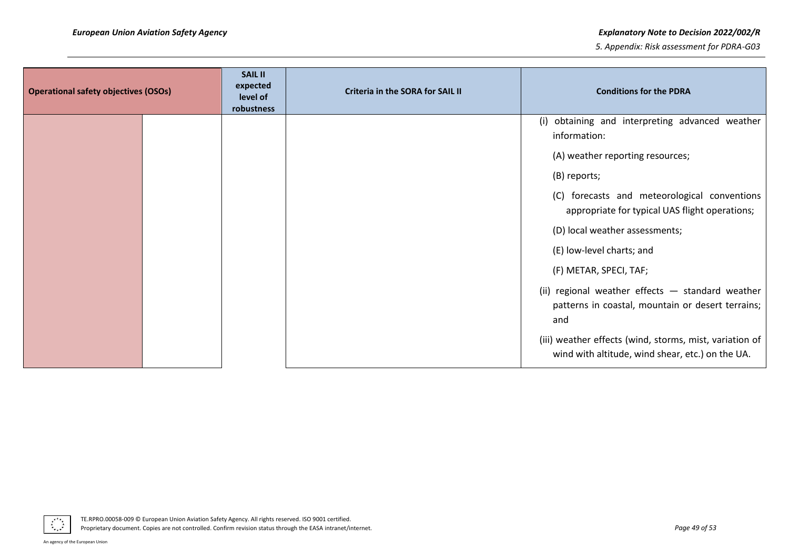#### *European Union Aviation Safety Agency Explanatory Note to Decision 2022/002/R*

| <b>Operational safety objectives (OSOs)</b> |  | <b>SAIL II</b><br>expected<br>level of<br>robustness | <b>Criteria in the SORA for SAIL II</b> | <b>Conditions for the PDRA</b>                                                                               |
|---------------------------------------------|--|------------------------------------------------------|-----------------------------------------|--------------------------------------------------------------------------------------------------------------|
|                                             |  |                                                      |                                         | (i) obtaining and interpreting advanced weather<br>information:                                              |
|                                             |  |                                                      |                                         | (A) weather reporting resources;                                                                             |
|                                             |  |                                                      |                                         | (B) reports;                                                                                                 |
|                                             |  |                                                      |                                         | (C) forecasts and meteorological conventions<br>appropriate for typical UAS flight operations;               |
|                                             |  |                                                      |                                         | (D) local weather assessments;                                                                               |
|                                             |  |                                                      |                                         | (E) low-level charts; and                                                                                    |
|                                             |  |                                                      |                                         | (F) METAR, SPECI, TAF;                                                                                       |
|                                             |  |                                                      |                                         | (ii) regional weather effects - standard weather<br>patterns in coastal, mountain or desert terrains;<br>and |
|                                             |  |                                                      |                                         | (iii) weather effects (wind, storms, mist, variation of<br>wind with altitude, wind shear, etc.) on the UA.  |

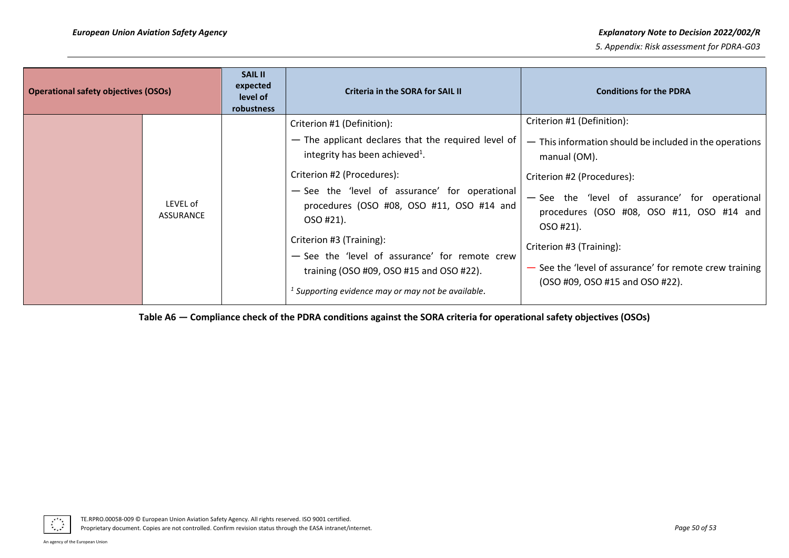| <b>Operational safety objectives (OSOs)</b> |                              | <b>SAIL II</b><br>expected<br>level of<br>robustness | Criteria in the SORA for SAIL II                                                                                                                                                                                                                                                                                                                                                                                                                            | <b>Conditions for the PDRA</b>                                                                                                                                                                                                                                                                                                                                            |
|---------------------------------------------|------------------------------|------------------------------------------------------|-------------------------------------------------------------------------------------------------------------------------------------------------------------------------------------------------------------------------------------------------------------------------------------------------------------------------------------------------------------------------------------------------------------------------------------------------------------|---------------------------------------------------------------------------------------------------------------------------------------------------------------------------------------------------------------------------------------------------------------------------------------------------------------------------------------------------------------------------|
|                                             | LEVEL of<br><b>ASSURANCE</b> |                                                      | Criterion #1 (Definition):<br>- The applicant declares that the required level of<br>integrity has been achieved <sup>1</sup> .<br>Criterion #2 (Procedures):<br>- See the 'level of assurance' for operational<br>procedures (OSO #08, OSO #11, OSO #14 and<br>OSO #21).<br>Criterion #3 (Training):<br>- See the 'level of assurance' for remote crew<br>training (OSO #09, OSO #15 and OSO #22).<br>$1$ Supporting evidence may or may not be available. | Criterion #1 (Definition):<br>- This information should be included in the operations<br>manual (OM).<br>Criterion #2 (Procedures):<br>- See the 'level of assurance' for operational<br>procedures (OSO #08, OSO #11, OSO #14 and<br>OSO #21).<br>Criterion #3 (Training):<br>- See the 'level of assurance' for remote crew training<br>(OSO #09, OSO #15 and OSO #22). |

**Table A6 — Compliance check of the PDRA conditions against the SORA criteria for operational safety objectives (OSOs)**

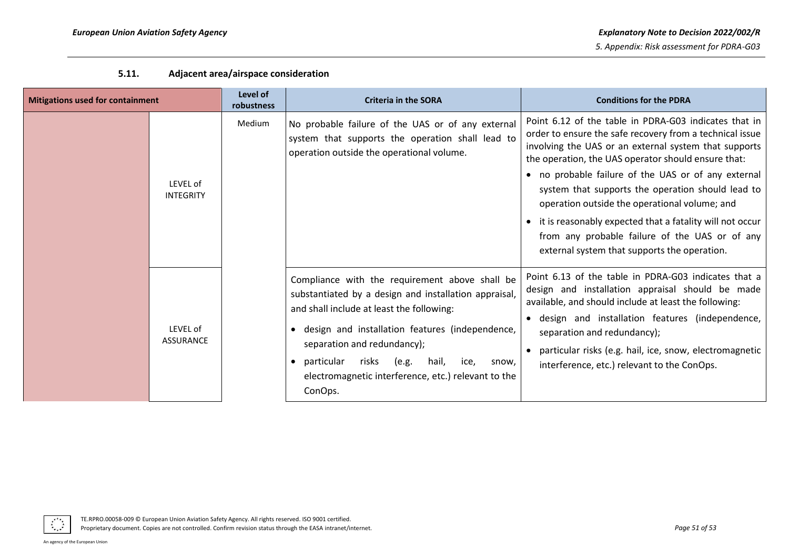| <b>Mitigations used for containment</b> |                              | Level of<br>robustness | <b>Criteria in the SORA</b>                                                                                                                                                                                                                                                                                                                                        | <b>Conditions for the PDRA</b>                                                                                                                                                                                                                                                                                                                                                                                                                                                                                                                                 |
|-----------------------------------------|------------------------------|------------------------|--------------------------------------------------------------------------------------------------------------------------------------------------------------------------------------------------------------------------------------------------------------------------------------------------------------------------------------------------------------------|----------------------------------------------------------------------------------------------------------------------------------------------------------------------------------------------------------------------------------------------------------------------------------------------------------------------------------------------------------------------------------------------------------------------------------------------------------------------------------------------------------------------------------------------------------------|
|                                         | LEVEL of<br><b>INTEGRITY</b> | Medium                 | No probable failure of the UAS or of any external<br>system that supports the operation shall lead to<br>operation outside the operational volume.                                                                                                                                                                                                                 | Point 6.12 of the table in PDRA-G03 indicates that in<br>order to ensure the safe recovery from a technical issue<br>involving the UAS or an external system that supports<br>the operation, the UAS operator should ensure that:<br>• no probable failure of the UAS or of any external<br>system that supports the operation should lead to<br>operation outside the operational volume; and<br>• it is reasonably expected that a fatality will not occur<br>from any probable failure of the UAS or of any<br>external system that supports the operation. |
|                                         | LEVEL of<br><b>ASSURANCE</b> |                        | Compliance with the requirement above shall be<br>substantiated by a design and installation appraisal,<br>and shall include at least the following:<br>design and installation features (independence,<br>separation and redundancy);<br>particular<br>risks<br>(e.g.<br>hail,<br>ice,<br>snow,<br>electromagnetic interference, etc.) relevant to the<br>ConOps. | Point 6.13 of the table in PDRA-G03 indicates that a<br>design and installation appraisal should be made<br>available, and should include at least the following:<br>design and installation features (independence,<br>separation and redundancy);<br>particular risks (e.g. hail, ice, snow, electromagnetic<br>interference, etc.) relevant to the ConOps.                                                                                                                                                                                                  |

## **5.11. Adjacent area/airspace consideration**

<span id="page-50-0"></span>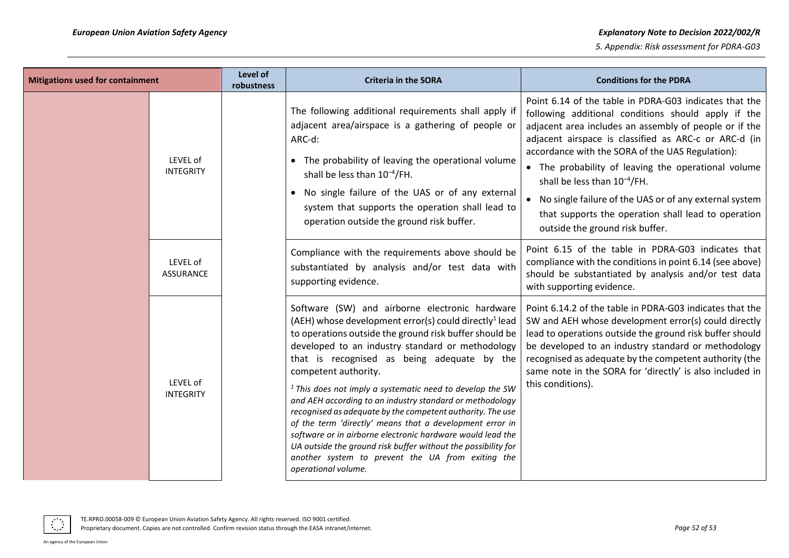| Mitigations used for containment |                              | Level of<br>robustness | <b>Criteria in the SORA</b>                                                                                                                                                                                                                                                                                                                                                                                                                                                                                                                                                                                                                                                                                                                                              | <b>Conditions for the PDRA</b>                                                                                                                                                                                                                                                                                                                                                                                                                                                                                                         |
|----------------------------------|------------------------------|------------------------|--------------------------------------------------------------------------------------------------------------------------------------------------------------------------------------------------------------------------------------------------------------------------------------------------------------------------------------------------------------------------------------------------------------------------------------------------------------------------------------------------------------------------------------------------------------------------------------------------------------------------------------------------------------------------------------------------------------------------------------------------------------------------|----------------------------------------------------------------------------------------------------------------------------------------------------------------------------------------------------------------------------------------------------------------------------------------------------------------------------------------------------------------------------------------------------------------------------------------------------------------------------------------------------------------------------------------|
|                                  | LEVEL of<br><b>INTEGRITY</b> |                        | The following additional requirements shall apply if<br>adjacent area/airspace is a gathering of people or<br>ARC-d:<br>• The probability of leaving the operational volume<br>shall be less than 10 <sup>-4</sup> /FH.<br>• No single failure of the UAS or of any external<br>system that supports the operation shall lead to<br>operation outside the ground risk buffer.                                                                                                                                                                                                                                                                                                                                                                                            | Point 6.14 of the table in PDRA-G03 indicates that the<br>following additional conditions should apply if the<br>adjacent area includes an assembly of people or if the<br>adjacent airspace is classified as ARC-c or ARC-d (in<br>accordance with the SORA of the UAS Regulation):<br>• The probability of leaving the operational volume<br>shall be less than $10^{-4}/FH$ .<br>• No single failure of the UAS or of any external system<br>that supports the operation shall lead to operation<br>outside the ground risk buffer. |
|                                  | LEVEL of<br><b>ASSURANCE</b> |                        | Compliance with the requirements above should be<br>substantiated by analysis and/or test data with<br>supporting evidence.                                                                                                                                                                                                                                                                                                                                                                                                                                                                                                                                                                                                                                              | Point 6.15 of the table in PDRA-G03 indicates that<br>compliance with the conditions in point 6.14 (see above)<br>should be substantiated by analysis and/or test data<br>with supporting evidence.                                                                                                                                                                                                                                                                                                                                    |
|                                  | LEVEL of<br><b>INTEGRITY</b> |                        | Software (SW) and airborne electronic hardware<br>(AEH) whose development error(s) could directly <sup>1</sup> lead<br>to operations outside the ground risk buffer should be<br>developed to an industry standard or methodology<br>that is recognised as being adequate by the<br>competent authority.<br>$1$ This does not imply a systematic need to develop the SW<br>and AEH according to an industry standard or methodology<br>recognised as adequate by the competent authority. The use<br>of the term 'directly' means that a development error in<br>software or in airborne electronic hardware would lead the<br>UA outside the ground risk buffer without the possibility for<br>another system to prevent the UA from exiting the<br>operational volume. | Point 6.14.2 of the table in PDRA-G03 indicates that the<br>SW and AEH whose development error(s) could directly<br>lead to operations outside the ground risk buffer should<br>be developed to an industry standard or methodology<br>recognised as adequate by the competent authority (the<br>same note in the SORA for 'directly' is also included in<br>this conditions).                                                                                                                                                         |



TE.RPRO.00058-009 © European Union Aviation Safety Agency. All rights reserved. ISO 9001 certified. Proprietary document. Copies are not controlled. Confirm revision status through the EASA intranet/internet. *Page 52 of 53*